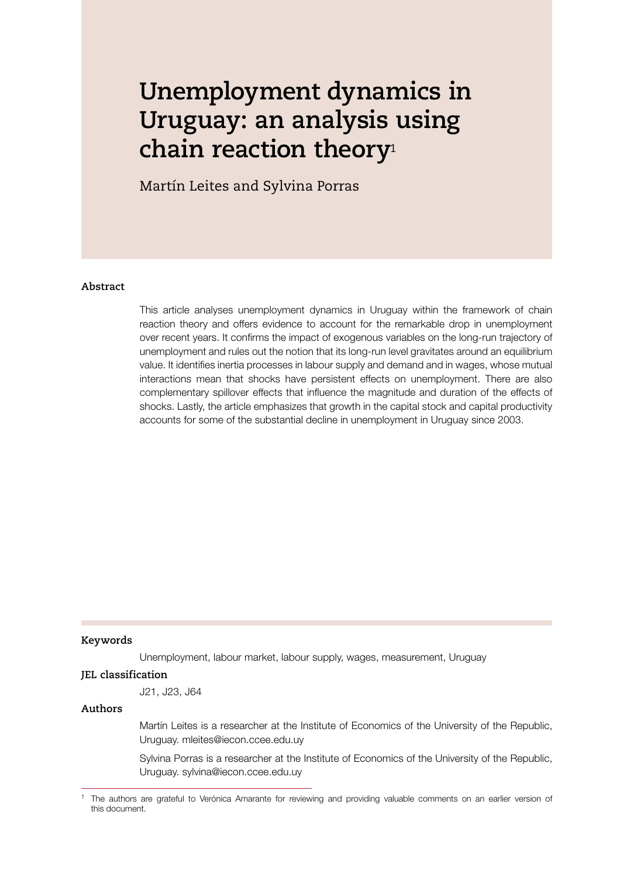# **Unemployment dynamics in Uruguay: an analysis using chain reaction theory**<sup>1</sup>

Martín Leites and Sylvina Porras

#### **Abstract**

This article analyses unemployment dynamics in Uruguay within the framework of chain reaction theory and offers evidence to account for the remarkable drop in unemployment over recent years. It confrms the impact of exogenous variables on the long-run trajectory of unemployment and rules out the notion that its long-run level gravitates around an equilibrium value. It identifes inertia processes in labour supply and demand and in wages, whose mutual interactions mean that shocks have persistent effects on unemployment. There are also complementary spillover effects that infuence the magnitude and duration of the effects of shocks. Lastly, the article emphasizes that growth in the capital stock and capital productivity accounts for some of the substantial decline in unemployment in Uruguay since 2003.

#### **Keywords**

Unemployment, labour market, labour supply, wages, measurement, Uruguay

#### **JEL classification**

J21, J23, J64

#### **Authors**

Martín Leites is a researcher at the Institute of Economics of the University of the Republic, Uruguay. mleites@iecon.ccee.edu.uy

Sylvina Porras is a researcher at the Institute of Economics of the University of the Republic, Uruguay. sylvina@iecon.ccee.edu.uy

<sup>&</sup>lt;sup>1</sup> The authors are grateful to Verónica Amarante for reviewing and providing valuable comments on an earlier version of this document.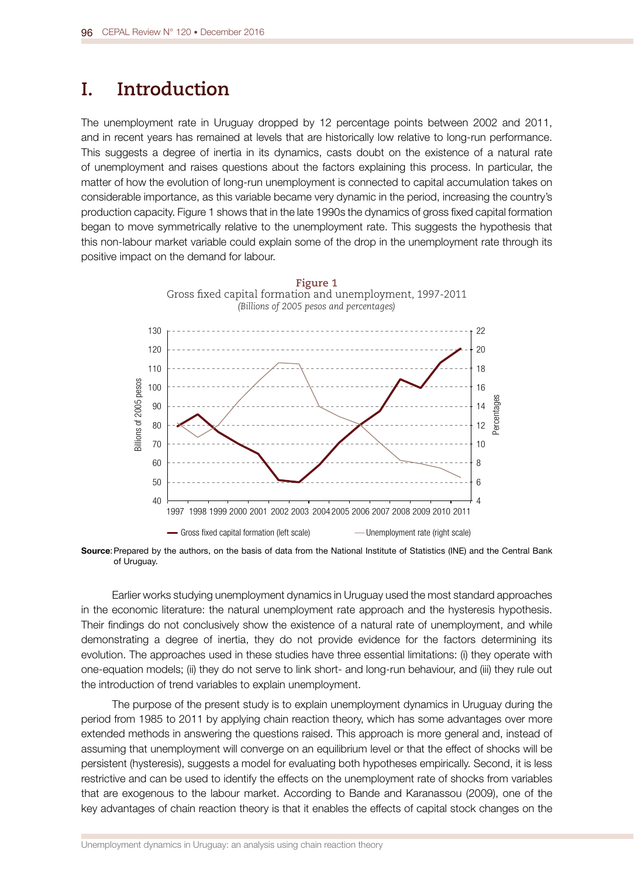## **I. Introduction**

The unemployment rate in Uruguay dropped by 12 percentage points between 2002 and 2011, and in recent years has remained at levels that are historically low relative to long-run performance. This suggests a degree of inertia in its dynamics, casts doubt on the existence of a natural rate of unemployment and raises questions about the factors explaining this process. In particular, the matter of how the evolution of long-run unemployment is connected to capital accumulation takes on considerable importance, as this variable became very dynamic in the period, increasing the country's production capacity. Figure 1 shows that in the late 1990s the dynamics of gross fxed capital formation began to move symmetrically relative to the unemployment rate. This suggests the hypothesis that this non-labour market variable could explain some of the drop in the unemployment rate through its positive impact on the demand for labour.



Source: Prepared by the authors, on the basis of data from the National Institute of Statistics (INE) and the Central Bank of Uruguay.

Earlier works studying unemployment dynamics in Uruguay used the most standard approaches in the economic literature: the natural unemployment rate approach and the hysteresis hypothesis. Their fndings do not conclusively show the existence of a natural rate of unemployment, and while demonstrating a degree of inertia, they do not provide evidence for the factors determining its evolution. The approaches used in these studies have three essential limitations: (i) they operate with one-equation models; (ii) they do not serve to link short- and long-run behaviour, and (iii) they rule out the introduction of trend variables to explain unemployment.

The purpose of the present study is to explain unemployment dynamics in Uruguay during the period from 1985 to 2011 by applying chain reaction theory, which has some advantages over more extended methods in answering the questions raised. This approach is more general and, instead of assuming that unemployment will converge on an equilibrium level or that the effect of shocks will be persistent (hysteresis), suggests a model for evaluating both hypotheses empirically. Second, it is less restrictive and can be used to identify the effects on the unemployment rate of shocks from variables that are exogenous to the labour market. According to Bande and Karanassou (2009), one of the key advantages of chain reaction theory is that it enables the effects of capital stock changes on the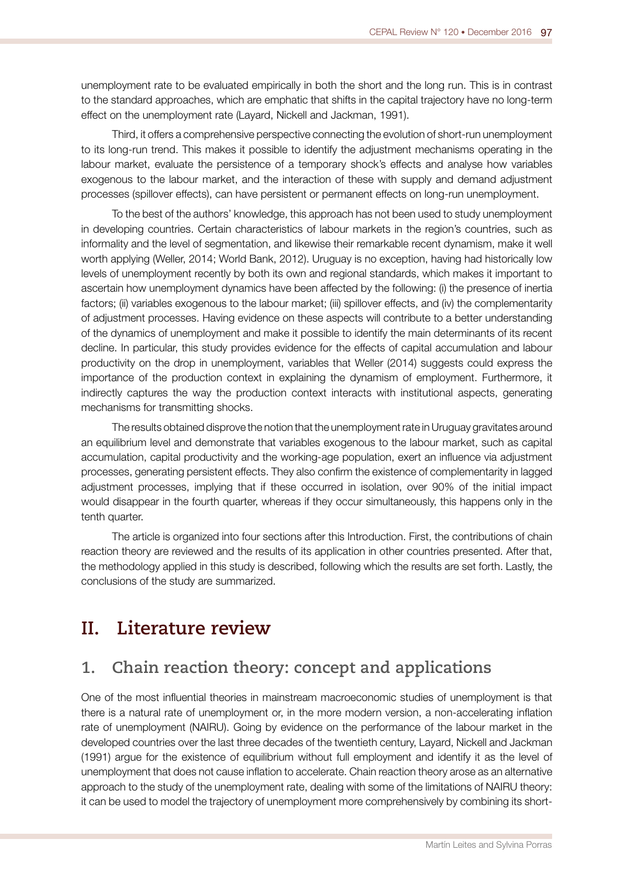unemployment rate to be evaluated empirically in both the short and the long run. This is in contrast to the standard approaches, which are emphatic that shifts in the capital trajectory have no long-term effect on the unemployment rate (Layard, Nickell and Jackman, 1991).

Third, it offers a comprehensive perspective connecting the evolution of short-run unemployment to its long-run trend. This makes it possible to identify the adjustment mechanisms operating in the labour market, evaluate the persistence of a temporary shock's effects and analyse how variables exogenous to the labour market, and the interaction of these with supply and demand adjustment processes (spillover effects), can have persistent or permanent effects on long-run unemployment.

To the best of the authors' knowledge, this approach has not been used to study unemployment in developing countries. Certain characteristics of labour markets in the region's countries, such as informality and the level of segmentation, and likewise their remarkable recent dynamism, make it well worth applying (Weller, 2014; World Bank, 2012). Uruguay is no exception, having had historically low levels of unemployment recently by both its own and regional standards, which makes it important to ascertain how unemployment dynamics have been affected by the following: (i) the presence of inertia factors; (ii) variables exogenous to the labour market; (iii) spillover effects, and (iv) the complementarity of adjustment processes. Having evidence on these aspects will contribute to a better understanding of the dynamics of unemployment and make it possible to identify the main determinants of its recent decline. In particular, this study provides evidence for the effects of capital accumulation and labour productivity on the drop in unemployment, variables that Weller (2014) suggests could express the importance of the production context in explaining the dynamism of employment. Furthermore, it indirectly captures the way the production context interacts with institutional aspects, generating mechanisms for transmitting shocks.

The results obtained disprove the notion that the unemployment rate in Uruguay gravitates around an equilibrium level and demonstrate that variables exogenous to the labour market, such as capital accumulation, capital productivity and the working-age population, exert an infuence via adjustment processes, generating persistent effects. They also confrm the existence of complementarity in lagged adjustment processes, implying that if these occurred in isolation, over 90% of the initial impact would disappear in the fourth quarter, whereas if they occur simultaneously, this happens only in the tenth quarter.

The article is organized into four sections after this Introduction. First, the contributions of chain reaction theory are reviewed and the results of its application in other countries presented. After that, the methodology applied in this study is described, following which the results are set forth. Lastly, the conclusions of the study are summarized.

## **II. Literature review**

## **1. Chain reaction theory: concept and applications**

One of the most infuential theories in mainstream macroeconomic studies of unemployment is that there is a natural rate of unemployment or, in the more modern version, a non-accelerating infation rate of unemployment (NAIRU). Going by evidence on the performance of the labour market in the developed countries over the last three decades of the twentieth century, Layard, Nickell and Jackman (1991) argue for the existence of equilibrium without full employment and identify it as the level of unemployment that does not cause infation to accelerate. Chain reaction theory arose as an alternative approach to the study of the unemployment rate, dealing with some of the limitations of NAIRU theory: it can be used to model the trajectory of unemployment more comprehensively by combining its short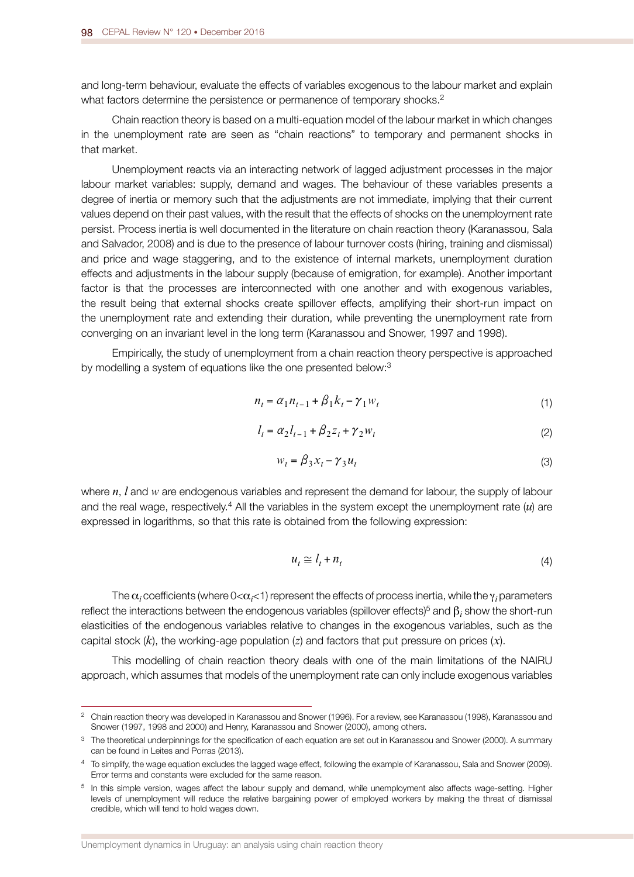and long-term behaviour, evaluate the effects of variables exogenous to the labour market and explain what factors determine the persistence or permanence of temporary shocks.<sup>2</sup>

Chain reaction theory is based on a multi-equation model of the labour market in which changes in the unemployment rate are seen as "chain reactions" to temporary and permanent shocks in that market.

Unemployment reacts via an interacting network of lagged adjustment processes in the major labour market variables: supply, demand and wages. The behaviour of these variables presents a degree of inertia or memory such that the adjustments are not immediate, implying that their current values depend on their past values, with the result that the effects of shocks on the unemployment rate persist. Process inertia is well documented in the literature on chain reaction theory (Karanassou, Sala and Salvador, 2008) and is due to the presence of labour turnover costs (hiring, training and dismissal) and price and wage staggering, and to the existence of internal markets, unemployment duration effects and adjustments in the labour supply (because of emigration, for example). Another important factor is that the processes are interconnected with one another and with exogenous variables, the result being that external shocks create spillover effects, amplifying their short-run impact on the unemployment rate and extending their duration, while preventing the unemployment rate from converging on an invariant level in the long term (Karanassou and Snower, 1997 and 1998).

Empirically, the study of unemployment from a chain reaction theory perspective is approached by modelling a system of equations like the one presented below:3

$$
n_t = \alpha_1 n_{t-1} + \beta_1 k_t - \gamma_1 w_t \tag{1}
$$

$$
l_{t} = \alpha_{2} l_{t-1} + \beta_{2} z_{t} + \gamma_{2} w_{t}
$$
\n(2)

$$
w_t = \beta_3 x_t - \gamma_3 u_t \tag{3}
$$

where *n*, *l* and *w* are endogenous variables and represent the demand for labour, the supply of labour and the real wage, respectively.4 All the variables in the system except the unemployment rate (*u*) are expressed in logarithms, so that this rate is obtained from the following expression:

$$
u_t \cong l_t + n_t \tag{4}
$$

The  $\alpha_i$  coefficients (where 0< $\alpha_i$ <1) represent the effects of process inertia, while the  $\gamma_i$  parameters reflect the interactions between the endogenous variables (spillover effects) $^5$  and  $\beta_i$  show the short-run elasticities of the endogenous variables relative to changes in the exogenous variables, such as the capital stock (*k*), the working-age population (*z*) and factors that put pressure on prices (*x*).

This modelling of chain reaction theory deals with one of the main limitations of the NAIRU approach, which assumes that models of the unemployment rate can only include exogenous variables

<sup>&</sup>lt;sup>2</sup> Chain reaction theory was developed in Karanassou and Snower (1996). For a review, see Karanassou (1998), Karanassou and Snower (1997, 1998 and 2000) and Henry, Karanassou and Snower (2000), among others.

<sup>&</sup>lt;sup>3</sup> The theoretical underpinnings for the specification of each equation are set out in Karanassou and Snower (2000). A summary can be found in Leites and Porras (2013).

<sup>4</sup> To simplify, the wage equation excludes the lagged wage effect, following the example of Karanassou, Sala and Snower (2009). Error terms and constants were excluded for the same reason.

<sup>5</sup> In this simple version, wages affect the labour supply and demand, while unemployment also affects wage-setting. Higher levels of unemployment will reduce the relative bargaining power of employed workers by making the threat of dismissal credible, which will tend to hold wages down.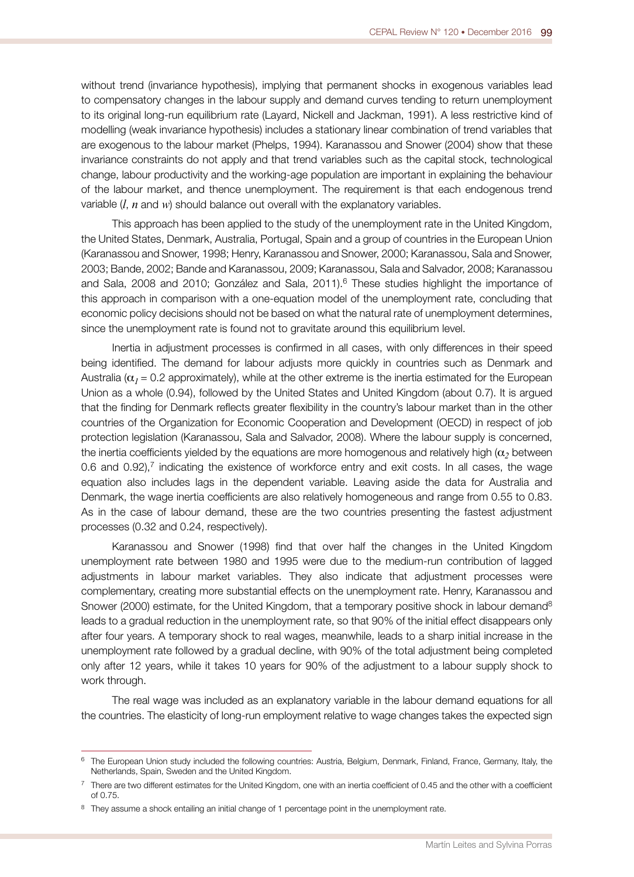without trend (invariance hypothesis), implying that permanent shocks in exogenous variables lead to compensatory changes in the labour supply and demand curves tending to return unemployment to its original long-run equilibrium rate (Layard, Nickell and Jackman, 1991). A less restrictive kind of modelling (weak invariance hypothesis) includes a stationary linear combination of trend variables that are exogenous to the labour market (Phelps, 1994). Karanassou and Snower (2004) show that these invariance constraints do not apply and that trend variables such as the capital stock, technological change, labour productivity and the working-age population are important in explaining the behaviour of the labour market, and thence unemployment. The requirement is that each endogenous trend variable (*l*, *n* and *w*) should balance out overall with the explanatory variables.

This approach has been applied to the study of the unemployment rate in the United Kingdom, the United States, Denmark, Australia, Portugal, Spain and a group of countries in the European Union (Karanassou and Snower, 1998; Henry, Karanassou and Snower, 2000; Karanassou, Sala and Snower, 2003; Bande, 2002; Bande and Karanassou, 2009; Karanassou, Sala and Salvador, 2008; Karanassou and Sala, 2008 and 2010; González and Sala, 2011).<sup>6</sup> These studies highlight the importance of this approach in comparison with a one-equation model of the unemployment rate, concluding that economic policy decisions should not be based on what the natural rate of unemployment determines, since the unemployment rate is found not to gravitate around this equilibrium level.

Inertia in adjustment processes is confrmed in all cases, with only differences in their speed being identifed. The demand for labour adjusts more quickly in countries such as Denmark and Australia ( $\alpha_1$  = 0.2 approximately), while at the other extreme is the inertia estimated for the European Union as a whole (0.94), followed by the United States and United Kingdom (about 0.7). It is argued that the fnding for Denmark refects greater fexibility in the country's labour market than in the other countries of the Organization for Economic Cooperation and Development (OECD) in respect of job protection legislation (Karanassou, Sala and Salvador, 2008). Where the labour supply is concerned, the inertia coefficients yielded by the equations are more homogenous and relatively high  $(\alpha_2)$  between 0.6 and  $0.92$ ), $7$  indicating the existence of workforce entry and exit costs. In all cases, the wage equation also includes lags in the dependent variable. Leaving aside the data for Australia and Denmark, the wage inertia coefficients are also relatively homogeneous and range from 0.55 to 0.83. As in the case of labour demand, these are the two countries presenting the fastest adjustment processes (0.32 and 0.24, respectively).

Karanassou and Snower (1998) fnd that over half the changes in the United Kingdom unemployment rate between 1980 and 1995 were due to the medium-run contribution of lagged adjustments in labour market variables. They also indicate that adjustment processes were complementary, creating more substantial effects on the unemployment rate. Henry, Karanassou and Snower (2000) estimate, for the United Kingdom, that a temporary positive shock in labour demand<sup>8</sup> leads to a gradual reduction in the unemployment rate, so that 90% of the initial effect disappears only after four years. A temporary shock to real wages, meanwhile, leads to a sharp initial increase in the unemployment rate followed by a gradual decline, with 90% of the total adjustment being completed only after 12 years, while it takes 10 years for 90% of the adjustment to a labour supply shock to work through.

The real wage was included as an explanatory variable in the labour demand equations for all the countries. The elasticity of long-run employment relative to wage changes takes the expected sign

 $6$  The European Union study included the following countries: Austria, Belgium, Denmark, Finland, France, Germany, Italy, the Netherlands, Spain, Sweden and the United Kingdom.

 $7$  There are two different estimates for the United Kingdom, one with an inertia coefficient of 0.45 and the other with a coefficient of 0.75.

<sup>&</sup>lt;sup>8</sup> They assume a shock entailing an initial change of 1 percentage point in the unemployment rate.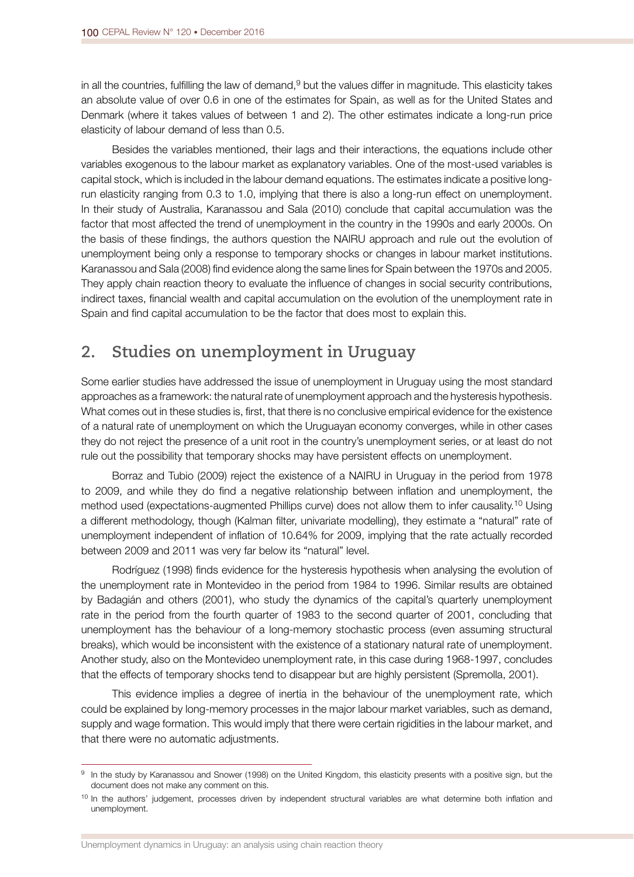in all the countries, fulfilling the law of demand, $9$  but the values differ in magnitude. This elasticity takes an absolute value of over 0.6 in one of the estimates for Spain, as well as for the United States and Denmark (where it takes values of between 1 and 2). The other estimates indicate a long-run price elasticity of labour demand of less than 0.5.

Besides the variables mentioned, their lags and their interactions, the equations include other variables exogenous to the labour market as explanatory variables. One of the most-used variables is capital stock, which is included in the labour demand equations. The estimates indicate a positive longrun elasticity ranging from 0.3 to 1.0, implying that there is also a long-run effect on unemployment. In their study of Australia, Karanassou and Sala (2010) conclude that capital accumulation was the factor that most affected the trend of unemployment in the country in the 1990s and early 2000s. On the basis of these fndings, the authors question the NAIRU approach and rule out the evolution of unemployment being only a response to temporary shocks or changes in labour market institutions. Karanassou and Sala (2008) fnd evidence along the same lines for Spain between the 1970s and 2005. They apply chain reaction theory to evaluate the infuence of changes in social security contributions, indirect taxes, fnancial wealth and capital accumulation on the evolution of the unemployment rate in Spain and fnd capital accumulation to be the factor that does most to explain this.

## **2. Studies on unemployment in Uruguay**

Some earlier studies have addressed the issue of unemployment in Uruguay using the most standard approaches as a framework: the natural rate of unemployment approach and the hysteresis hypothesis. What comes out in these studies is, first, that there is no conclusive empirical evidence for the existence of a natural rate of unemployment on which the Uruguayan economy converges, while in other cases they do not reject the presence of a unit root in the country's unemployment series, or at least do not rule out the possibility that temporary shocks may have persistent effects on unemployment.

Borraz and Tubio (2009) reject the existence of a NAIRU in Uruguay in the period from 1978 to 2009, and while they do fnd a negative relationship between infation and unemployment, the method used (expectations-augmented Phillips curve) does not allow them to infer causality.10 Using a different methodology, though (Kalman flter, univariate modelling), they estimate a "natural" rate of unemployment independent of infation of 10.64% for 2009, implying that the rate actually recorded between 2009 and 2011 was very far below its "natural" level.

Rodríguez (1998) fnds evidence for the hysteresis hypothesis when analysing the evolution of the unemployment rate in Montevideo in the period from 1984 to 1996. Similar results are obtained by Badagián and others (2001), who study the dynamics of the capital's quarterly unemployment rate in the period from the fourth quarter of 1983 to the second quarter of 2001, concluding that unemployment has the behaviour of a long-memory stochastic process (even assuming structural breaks), which would be inconsistent with the existence of a stationary natural rate of unemployment. Another study, also on the Montevideo unemployment rate, in this case during 1968-1997, concludes that the effects of temporary shocks tend to disappear but are highly persistent (Spremolla, 2001).

This evidence implies a degree of inertia in the behaviour of the unemployment rate, which could be explained by long-memory processes in the major labour market variables, such as demand, supply and wage formation. This would imply that there were certain rigidities in the labour market, and that there were no automatic adjustments.

Unemployment dynamics in Uruguay: an analysis using chain reaction theory

<sup>9</sup> In the study by Karanassou and Snower (1998) on the United Kingdom, this elasticity presents with a positive sign, but the document does not make any comment on this.

 $10$  In the authors' judgement, processes driven by independent structural variables are what determine both inflation and unemployment.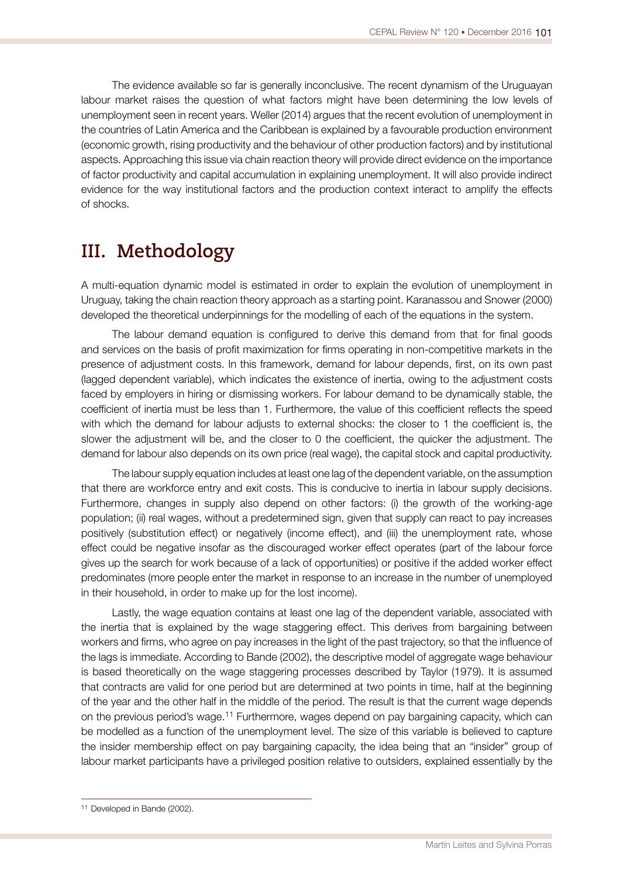The evidence available so far is generally inconclusive. The recent dynamism of the Uruguayan labour market raises the question of what factors might have been determining the low levels of unemployment seen in recent years. Weller (2014) argues that the recent evolution of unemployment in the countries of Latin America and the Caribbean is explained by a favourable production environment (economic growth, rising productivity and the behaviour of other production factors) and by institutional aspects. Approaching this issue via chain reaction theory will provide direct evidence on the importance of factor productivity and capital accumulation in explaining unemployment. It will also provide indirect evidence for the way institutional factors and the production context interact to amplify the effects of shocks.

## **III. Methodology**

A multi-equation dynamic model is estimated in order to explain the evolution of unemployment in Uruguay, taking the chain reaction theory approach as a starting point. Karanassou and Snower (2000) developed the theoretical underpinnings for the modelling of each of the equations in the system.

The labour demand equation is confgured to derive this demand from that for fnal goods and services on the basis of proft maximization for frms operating in non-competitive markets in the presence of adjustment costs. In this framework, demand for labour depends, frst, on its own past (lagged dependent variable), which indicates the existence of inertia, owing to the adjustment costs faced by employers in hiring or dismissing workers. For labour demand to be dynamically stable, the coefficient of inertia must be less than 1. Furthermore, the value of this coefficient reflects the speed with which the demand for labour adjusts to external shocks: the closer to 1 the coefficient is, the slower the adjustment will be, and the closer to 0 the coefficient, the quicker the adjustment. The demand for labour also depends on its own price (real wage), the capital stock and capital productivity.

The labour supply equation includes at least one lag of the dependent variable, on the assumption that there are workforce entry and exit costs. This is conducive to inertia in labour supply decisions. Furthermore, changes in supply also depend on other factors: (i) the growth of the working-age population; (ii) real wages, without a predetermined sign, given that supply can react to pay increases positively (substitution effect) or negatively (income effect), and (iii) the unemployment rate, whose effect could be negative insofar as the discouraged worker effect operates (part of the labour force gives up the search for work because of a lack of opportunities) or positive if the added worker effect predominates (more people enter the market in response to an increase in the number of unemployed in their household, in order to make up for the lost income).

Lastly, the wage equation contains at least one lag of the dependent variable, associated with the inertia that is explained by the wage staggering effect. This derives from bargaining between workers and frms, who agree on pay increases in the light of the past trajectory, so that the infuence of the lags is immediate. According to Bande (2002), the descriptive model of aggregate wage behaviour is based theoretically on the wage staggering processes described by Taylor (1979). It is assumed that contracts are valid for one period but are determined at two points in time, half at the beginning of the year and the other half in the middle of the period. The result is that the current wage depends on the previous period's wage.11 Furthermore, wages depend on pay bargaining capacity, which can be modelled as a function of the unemployment level. The size of this variable is believed to capture the insider membership effect on pay bargaining capacity, the idea being that an "insider" group of labour market participants have a privileged position relative to outsiders, explained essentially by the

<sup>&</sup>lt;sup>11</sup> Developed in Bande (2002).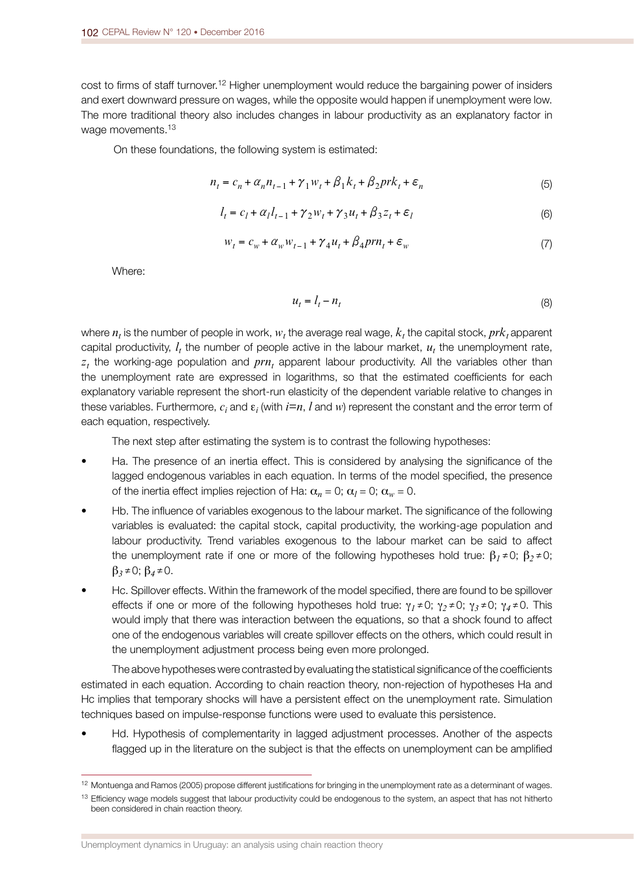cost to frms of staff turnover.12 Higher unemployment would reduce the bargaining power of insiders and exert downward pressure on wages, while the opposite would happen if unemployment were low. The more traditional theory also includes changes in labour productivity as an explanatory factor in wage movements.<sup>13</sup>

On these foundations, the following system is estimated:

$$
n_t = c_n + \alpha_n n_{t-1} + \gamma_1 w_t + \beta_1 k_t + \beta_2 pr k_t + \varepsilon_n
$$
\n<sup>(5)</sup>

$$
l_{t} = c_{l} + \alpha_{l} l_{t-1} + \gamma_{2} w_{t} + \gamma_{3} u_{t} + \beta_{3} z_{t} + \varepsilon_{l}
$$
\n(6)

$$
W_t = C_w + \alpha_w W_{t-1} + \gamma_4 u_t + \beta_4 prn_t + \varepsilon_w \tag{7}
$$

Where:

$$
u_t = l_t - n_t \tag{8}
$$

where  $n_t$  is the number of people in work,  $w_t$  the average real wage,  $k_t$  the capital stock,  $prk_t$  apparent capital productivity,  $l_t$ , the number of people active in the labour market,  $u_t$ , the unemployment rate,  $z<sub>t</sub>$  the working-age population and  $prn<sub>t</sub>$  apparent labour productivity. All the variables other than the unemployment rate are expressed in logarithms, so that the estimated coefficients for each explanatory variable represent the short-run elasticity of the dependent variable relative to changes in these variables. Furthermore,  $c_i$  and  $\boldsymbol{\epsilon}_i$  (with  $i{=}n$ ,  $l$  and  $w$ ) represent the constant and the error term of each equation, respectively.

The next step after estimating the system is to contrast the following hypotheses:

- Ha. The presence of an inertia effect. This is considered by analysing the signifcance of the lagged endogenous variables in each equation. In terms of the model specifed, the presence of the inertia effect implies rejection of Ha:  $\alpha_n = 0$ ;  $\alpha_l = 0$ ;  $\alpha_w = 0$ .
- Hb. The infuence of variables exogenous to the labour market. The signifcance of the following variables is evaluated: the capital stock, capital productivity, the working-age population and labour productivity. Trend variables exogenous to the labour market can be said to affect the unemployment rate if one or more of the following hypotheses hold true: β*1≠*0; β*2≠*0; β*3≠*0; β*4≠*0.
- Hc. Spillover effects. Within the framework of the model specifed, there are found to be spillover effects if one or more of the following hypotheses hold true: γ*1≠*0; γ*2≠*0; γ*3≠*0; γ*4≠*0. This would imply that there was interaction between the equations, so that a shock found to affect one of the endogenous variables will create spillover effects on the others, which could result in the unemployment adjustment process being even more prolonged.

The above hypotheses were contrasted by evaluating the statistical significance of the coefficients estimated in each equation. According to chain reaction theory, non-rejection of hypotheses Ha and Hc implies that temporary shocks will have a persistent effect on the unemployment rate. Simulation techniques based on impulse-response functions were used to evaluate this persistence.

• Hd. Hypothesis of complementarity in lagged adjustment processes. Another of the aspects fagged up in the literature on the subject is that the effects on unemployment can be amplifed

<sup>12</sup> Montuenga and Ramos (2005) propose different justifcations for bringing in the unemployment rate as a determinant of wages.

<sup>&</sup>lt;sup>13</sup> Efficiency wage models suggest that labour productivity could be endogenous to the system, an aspect that has not hitherto been considered in chain reaction theory.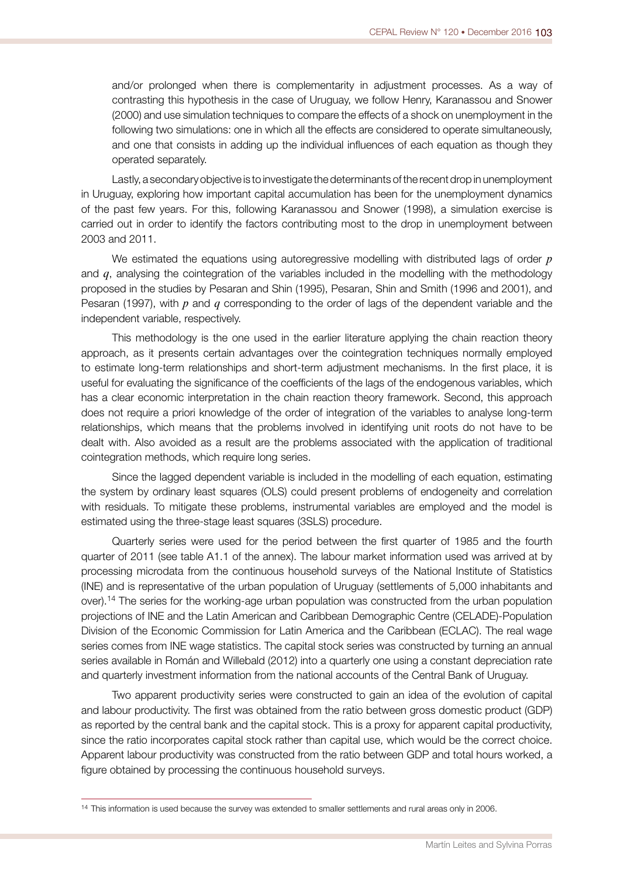and/or prolonged when there is complementarity in adjustment processes. As a way of contrasting this hypothesis in the case of Uruguay, we follow Henry, Karanassou and Snower (2000) and use simulation techniques to compare the effects of a shock on unemployment in the following two simulations: one in which all the effects are considered to operate simultaneously, and one that consists in adding up the individual infuences of each equation as though they operated separately.

Lastly, a secondary objective is to investigate the determinants of the recent drop in unemployment in Uruguay, exploring how important capital accumulation has been for the unemployment dynamics of the past few years. For this, following Karanassou and Snower (1998), a simulation exercise is carried out in order to identify the factors contributing most to the drop in unemployment between 2003 and 2011.

We estimated the equations using autoregressive modelling with distributed lags of order *p*  and *q*, analysing the cointegration of the variables included in the modelling with the methodology proposed in the studies by Pesaran and Shin (1995), Pesaran, Shin and Smith (1996 and 2001), and Pesaran (1997), with *p* and *q* corresponding to the order of lags of the dependent variable and the independent variable, respectively.

This methodology is the one used in the earlier literature applying the chain reaction theory approach, as it presents certain advantages over the cointegration techniques normally employed to estimate long-term relationships and short-term adjustment mechanisms. In the frst place, it is useful for evaluating the significance of the coefficients of the lags of the endogenous variables, which has a clear economic interpretation in the chain reaction theory framework. Second, this approach does not require a priori knowledge of the order of integration of the variables to analyse long-term relationships, which means that the problems involved in identifying unit roots do not have to be dealt with. Also avoided as a result are the problems associated with the application of traditional cointegration methods, which require long series.

Since the lagged dependent variable is included in the modelling of each equation, estimating the system by ordinary least squares (OLS) could present problems of endogeneity and correlation with residuals. To mitigate these problems, instrumental variables are employed and the model is estimated using the three-stage least squares (3SLS) procedure.

Quarterly series were used for the period between the first quarter of 1985 and the fourth quarter of 2011 (see table A1.1 of the annex). The labour market information used was arrived at by processing microdata from the continuous household surveys of the National Institute of Statistics (INE) and is representative of the urban population of Uruguay (settlements of 5,000 inhabitants and over).14 The series for the working-age urban population was constructed from the urban population projections of INE and the Latin American and Caribbean Demographic Centre (CELADE)-Population Division of the Economic Commission for Latin America and the Caribbean (ECLAC). The real wage series comes from INE wage statistics. The capital stock series was constructed by turning an annual series available in Román and Willebald (2012) into a quarterly one using a constant depreciation rate and quarterly investment information from the national accounts of the Central Bank of Uruguay.

Two apparent productivity series were constructed to gain an idea of the evolution of capital and labour productivity. The frst was obtained from the ratio between gross domestic product (GDP) as reported by the central bank and the capital stock. This is a proxy for apparent capital productivity, since the ratio incorporates capital stock rather than capital use, which would be the correct choice. Apparent labour productivity was constructed from the ratio between GDP and total hours worked, a fgure obtained by processing the continuous household surveys.

<sup>&</sup>lt;sup>14</sup> This information is used because the survey was extended to smaller settlements and rural areas only in 2006.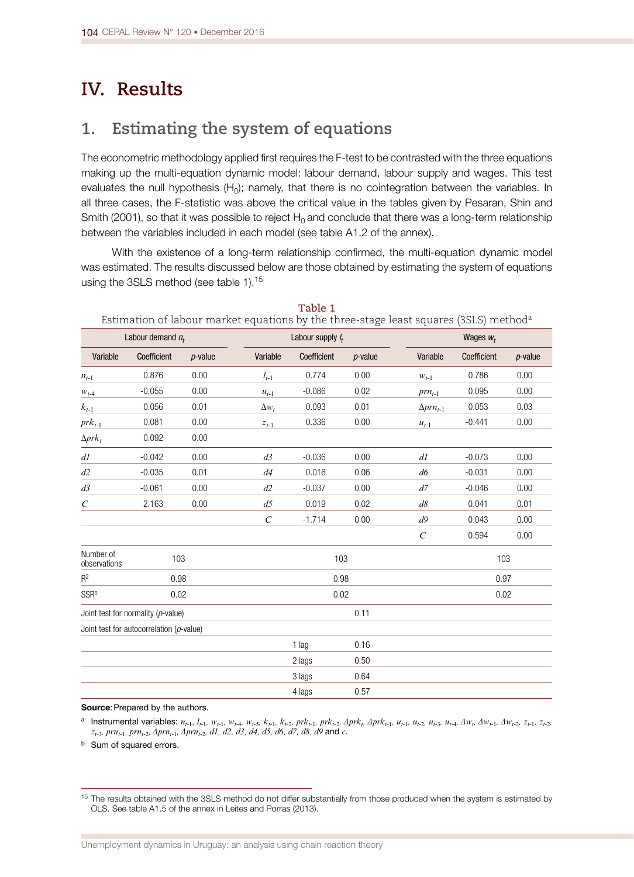## **IV. Results**

## **1. Estimating the system of equations**

The econometric methodology applied first requires the F-test to be contrasted with the three equations making up the multi-equation dynamic model: labour demand, labour supply and wages. This test evaluates the null hypothesis (H<sub>0</sub>); namely, that there is no cointegration between the variables. In all three cases, the F-statistic was above the critical value in the tables given by Pesaran, Shin and Smith (2001), so that it was possible to reject  $H_0$  and conclude that there was a long-term relationship between the variables included in each model (see table A1.2 of the annex).

With the existence of a long-term relationship confrmed, the multi-equation dynamic model was estimated. The results discussed below are those obtained by estimating the system of equations using the 3SLS method (see table 1).<sup>15</sup>

|                           |                                          |            |                               |                     |            | Estimation of labour market equations by the three-stage least squares (3SLS) method <sup>a</sup> |             |            |  |
|---------------------------|------------------------------------------|------------|-------------------------------|---------------------|------------|---------------------------------------------------------------------------------------------------|-------------|------------|--|
| Labour demand $n_t$       |                                          |            |                               | Labour supply $I_t$ |            |                                                                                                   | Wages $W_t$ |            |  |
| Variable                  | Coefficient                              | $p$ -value | Variable                      | Coefficient         | $p$ -value | Variable                                                                                          | Coefficient | $p$ -value |  |
| $n_{t-1}$                 | 0.876                                    | 0.00       | $l_{t-1}$                     | 0.774               | 0.00       | $W_{t-1}$                                                                                         | 0.786       | 0.00       |  |
| $W_{t-4}$                 | $-0.055$                                 | 0.00       | $u_{t-1}$                     | $-0.086$            | 0.02       | $prn_{t-1}$                                                                                       | 0.095       | 0.00       |  |
| $k_{t-1}$                 | 0.056                                    | 0.01       | $\Delta w_t$                  | 0.093               | 0.01       | $\Delta prn_{t-1}$                                                                                | 0.053       | 0.03       |  |
| $prk_{t-1}$               | 0.081                                    | 0.00       | $\boldsymbol{z}_{t\text{-}1}$ | 0.336               | 0.00       | $u_{t-1}$                                                                                         | $-0.441$    | 0.00       |  |
| $\Delta prk_t$            | 0.092                                    | 0.00       |                               |                     |            |                                                                                                   |             |            |  |
| dl                        | $-0.042$                                 | 0.00       | d3                            | $-0.036$            | 0.00       | dl                                                                                                | $-0.073$    | 0.00       |  |
| d2                        | $-0.035$                                 | 0.01       | d4                            | 0.016               | 0.06       | d6                                                                                                | $-0.031$    | 0.00       |  |
| d3                        | $-0.061$                                 | 0.00       | d2                            | $-0.037$            | 0.00       | d7                                                                                                | $-0.046$    | 0.00       |  |
| $\mathcal{C}_{0}^{0}$     | 2.163                                    | 0.00       | d5                            | 0.019               | 0.02       | d8                                                                                                | 0.041       | 0.01       |  |
|                           |                                          |            | $\mathcal{C}$                 | $-1.714$            | 0.00       | d9                                                                                                | 0.043       | 0.00       |  |
|                           |                                          |            |                               |                     |            | $\mathcal{C}_{0}^{0}$                                                                             | 0.594       | 0.00       |  |
| Number of<br>observations | 103                                      |            |                               |                     | 103        |                                                                                                   | 103         |            |  |
| $R^2$                     | 0.98                                     |            |                               |                     | 0.98       |                                                                                                   | 0.97        |            |  |
| SSRb                      | 0.02                                     |            |                               |                     | 0.02       |                                                                                                   | 0.02        |            |  |
|                           | Joint test for normality (p-value)       |            |                               |                     | 0.11       |                                                                                                   |             |            |  |
|                           | Joint test for autocorrelation (p-value) |            |                               |                     |            |                                                                                                   |             |            |  |
|                           |                                          |            |                               | 1 lag               | 0.16       |                                                                                                   |             |            |  |
|                           |                                          |            |                               | 2 lags              | 0.50       |                                                                                                   |             |            |  |
|                           |                                          |            |                               | 3 lags              | 0.64       |                                                                                                   |             |            |  |
|                           |                                          |            |                               | 4 lags              | 0.57       |                                                                                                   |             |            |  |

**Table 1**

Source: Prepared by the authors.

<sup>a</sup> Instrumental variables:  $n_{t-1}$ ,  $l_{t-1}$ ,  $w_{t-1}$ ,  $w_{t-2}$ ,  $w_{t-3}$ ,  $w_{t-5}$ ,  $k_{t-1}$ ,  $k_{t-2}$ ,  $p_{t-1}$ ,  $p_{t-2}$ ,  $p_{t-1}$ ,  $p_{t-1}$ ,  $p_{t-1}$ ,  $u_{t-1}$ ,  $u_{t-2}$ ,  $u_{t-3}$ ,  $u_{t-4}$ ,  $\Delta w_{t}$ ,  $\Delta w_{t-1}$ , *z*<sub>t-3</sub>*, prn*<sub>t-1</sub>*, prn*<sub>t-2</sub>*, ∆prn*<sub>t-1</sub>*, ∆prn*<sub>t-2</sub>*, d1, d2, d3, d4, d5, d6, d7, d8, d9* and *c*.

**b** Sum of squared errors.

<sup>&</sup>lt;sup>15</sup> The results obtained with the 3SLS method do not differ substantially from those produced when the system is estimated by OLS. See table A1.5 of the annex in Leites and Porras (2013).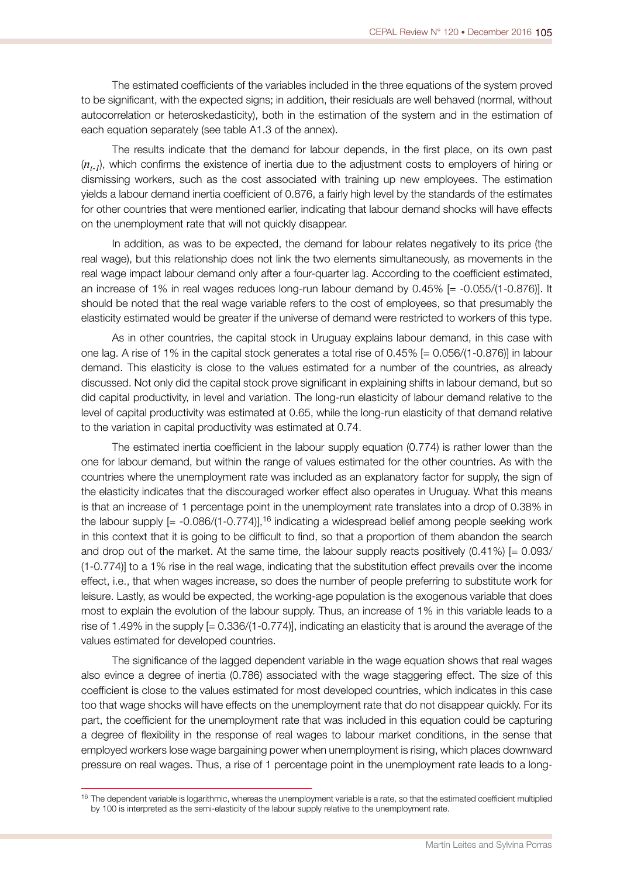The estimated coefficients of the variables included in the three equations of the system proved to be signifcant, with the expected signs; in addition, their residuals are well behaved (normal, without autocorrelation or heteroskedasticity), both in the estimation of the system and in the estimation of each equation separately (see table A1.3 of the annex).

The results indicate that the demand for labour depends, in the frst place, on its own past (*nt-1*), which confrms the existence of inertia due to the adjustment costs to employers of hiring or dismissing workers, such as the cost associated with training up new employees. The estimation yields a labour demand inertia coefficient of 0.876, a fairly high level by the standards of the estimates for other countries that were mentioned earlier, indicating that labour demand shocks will have effects on the unemployment rate that will not quickly disappear.

In addition, as was to be expected, the demand for labour relates negatively to its price (the real wage), but this relationship does not link the two elements simultaneously, as movements in the real wage impact labour demand only after a four-quarter lag. According to the coefficient estimated, an increase of 1% in real wages reduces long-run labour demand by 0.45% [= -0.055/(1-0.876)]. It should be noted that the real wage variable refers to the cost of employees, so that presumably the elasticity estimated would be greater if the universe of demand were restricted to workers of this type.

As in other countries, the capital stock in Uruguay explains labour demand, in this case with one lag. A rise of 1% in the capital stock generates a total rise of 0.45% [= 0.056/(1-0.876)] in labour demand. This elasticity is close to the values estimated for a number of the countries, as already discussed. Not only did the capital stock prove signifcant in explaining shifts in labour demand, but so did capital productivity, in level and variation. The long-run elasticity of labour demand relative to the level of capital productivity was estimated at 0.65, while the long-run elasticity of that demand relative to the variation in capital productivity was estimated at 0.74.

The estimated inertia coefficient in the labour supply equation (0.774) is rather lower than the one for labour demand, but within the range of values estimated for the other countries. As with the countries where the unemployment rate was included as an explanatory factor for supply, the sign of the elasticity indicates that the discouraged worker effect also operates in Uruguay. What this means is that an increase of 1 percentage point in the unemployment rate translates into a drop of 0.38% in the labour supply  $[= -0.086/(1-0.774)]$ , <sup>16</sup> indicating a widespread belief among people seeking work in this context that it is going to be diffcult to fnd, so that a proportion of them abandon the search and drop out of the market. At the same time, the labour supply reacts positively  $(0.41\%)$  [= 0.093/ (1-0.774)] to a 1% rise in the real wage, indicating that the substitution effect prevails over the income effect, i.e., that when wages increase, so does the number of people preferring to substitute work for leisure. Lastly, as would be expected, the working-age population is the exogenous variable that does most to explain the evolution of the labour supply. Thus, an increase of 1% in this variable leads to a rise of 1.49% in the supply [= 0.336/(1-0.774)], indicating an elasticity that is around the average of the values estimated for developed countries.

The signifcance of the lagged dependent variable in the wage equation shows that real wages also evince a degree of inertia (0.786) associated with the wage staggering effect. The size of this coefficient is close to the values estimated for most developed countries, which indicates in this case too that wage shocks will have effects on the unemployment rate that do not disappear quickly. For its part, the coeffcient for the unemployment rate that was included in this equation could be capturing a degree of fexibility in the response of real wages to labour market conditions, in the sense that employed workers lose wage bargaining power when unemployment is rising, which places downward pressure on real wages. Thus, a rise of 1 percentage point in the unemployment rate leads to a long-

<sup>&</sup>lt;sup>16</sup> The dependent variable is logarithmic, whereas the unemployment variable is a rate, so that the estimated coefficient multiplied by 100 is interpreted as the semi-elasticity of the labour supply relative to the unemployment rate.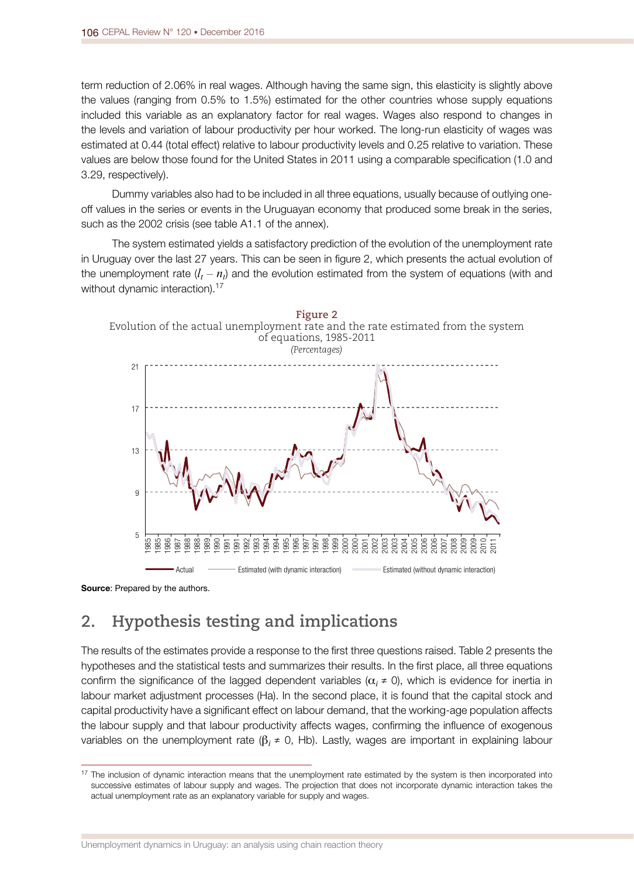term reduction of 2.06% in real wages. Although having the same sign, this elasticity is slightly above the values (ranging from 0.5% to 1.5%) estimated for the other countries whose supply equations included this variable as an explanatory factor for real wages. Wages also respond to changes in the levels and variation of labour productivity per hour worked. The long-run elasticity of wages was estimated at 0.44 (total effect) relative to labour productivity levels and 0.25 relative to variation. These values are below those found for the United States in 2011 using a comparable specifcation (1.0 and 3.29, respectively).

Dummy variables also had to be included in all three equations, usually because of outlying oneoff values in the series or events in the Uruguayan economy that produced some break in the series, such as the 2002 crisis (see table A1.1 of the annex).

The system estimated yields a satisfactory prediction of the evolution of the unemployment rate in Uruguay over the last 27 years. This can be seen in fgure 2, which presents the actual evolution of the unemployment rate  $(l_t - n_t)$  and the evolution estimated from the system of equations (with and without dynamic interaction).<sup>17</sup>



Source: Prepared by the authors.

## **2. Hypothesis testing and implications**

The results of the estimates provide a response to the frst three questions raised. Table 2 presents the hypotheses and the statistical tests and summarizes their results. In the frst place, all three equations confirm the significance of the lagged dependent variables  $(\alpha_i \neq 0)$ , which is evidence for inertia in labour market adjustment processes (Ha). In the second place, it is found that the capital stock and capital productivity have a signifcant effect on labour demand, that the working-age population affects the labour supply and that labour productivity affects wages, confrming the infuence of exogenous variables on the unemployment rate (β*i ≠* 0, Hb). Lastly, wages are important in explaining labour

<sup>&</sup>lt;sup>17</sup> The inclusion of dynamic interaction means that the unemployment rate estimated by the system is then incorporated into successive estimates of labour supply and wages. The projection that does not incorporate dynamic interaction takes the actual unemployment rate as an explanatory variable for supply and wages.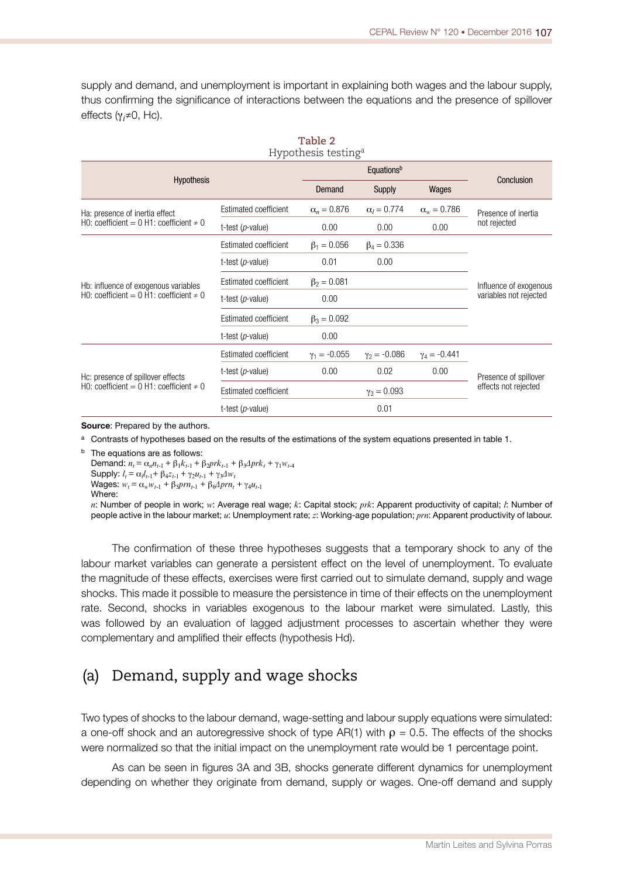supply and demand, and unemployment is important in explaining both wages and the labour supply, thus confrming the signifcance of interactions between the equations and the presence of spillover effects (γ*<sup>i</sup> ≠*0, Hc).

| Table 2<br>Hypothesis testing <sup>a</sup>     |                       |                    |                    |                      |                        |  |  |
|------------------------------------------------|-----------------------|--------------------|--------------------|----------------------|------------------------|--|--|
|                                                | Equationsb            |                    | Conclusion         |                      |                        |  |  |
| <b>Hypothesis</b>                              |                       | Demand             | Supply             | Wages                |                        |  |  |
| Ha: presence of inertia effect                 | Estimated coefficient | $\alpha_n = 0.876$ | $\alpha_l = 0.774$ | $\alpha_w = 0.786$   | Presence of inertia    |  |  |
| HO: coefficient = 0 H1: coefficient $\neq$ 0   | t-test $(p$ -value)   | 0.00               | 0.00               | 0.00                 | not rejected           |  |  |
|                                                | Estimated coefficient | $\beta_1 = 0.056$  | $\beta_4 = 0.336$  |                      |                        |  |  |
|                                                | t-test $(p$ -value)   | 0.01               | 0.00               |                      |                        |  |  |
| Hb: influence of exogenous variables           | Estimated coefficient | $\beta_2 = 0.081$  |                    |                      | Influence of exogenous |  |  |
| HO: coefficient = $0$ H1: coefficient $\neq 0$ | t-test $(p$ -value)   | 0.00               |                    |                      | variables not rejected |  |  |
|                                                | Estimated coefficient | $\beta_3 = 0.092$  |                    |                      |                        |  |  |
|                                                | t-test $(p$ -value)   | 0.00               |                    |                      |                        |  |  |
|                                                | Estimated coefficient | $y_1 = -0.055$     | $y_2 = -0.086$     | $y_4 = -0.441$       |                        |  |  |
| Hc: presence of spillover effects              | t-test $(p$ -value)   | 0.00               | 0.02               | 0.00                 | Presence of spillover  |  |  |
| HO: coefficient = $0$ H1: coefficient $\neq 0$ | Estimated coefficient | $y_3 = 0.093$      |                    | effects not rejected |                        |  |  |
|                                                | t-test $(p$ -value)   |                    | 0.01               |                      |                        |  |  |

Source: Prepared by the authors.

<sup>a</sup> Contrasts of hypotheses based on the results of the estimations of the system equations presented in table 1.

b The equations are as follows:

Demand:  $n_t = \alpha_n n_{t-1} + \beta_1 k_{t-1} + \beta_2 pr k_{t-1} + \beta_3 Δ pr k_t + γ_1 w_{t-4}$ Supply:  $l_t = \alpha_l l_{t-1} + \beta_4 z_{t-1} + \gamma_2 u_{t-1} + \gamma_3 \Delta w_t$  $Wages: w_t = α_w w_{t-1} + β_5 prn_{t-1} + β_6 Δ prn_t + γ_4 u_{t-1}$ Where:

*n*: Number of people in work; *w*: Average real wage; *k*: Capital stock; *prk*: Apparent productivity of capital; *l*: Number of people active in the labour market; *u*: Unemployment rate; *z*: Working-age population; *prn*: Apparent productivity of labour.

The confrmation of these three hypotheses suggests that a temporary shock to any of the labour market variables can generate a persistent effect on the level of unemployment. To evaluate the magnitude of these effects, exercises were frst carried out to simulate demand, supply and wage shocks. This made it possible to measure the persistence in time of their effects on the unemployment rate. Second, shocks in variables exogenous to the labour market were simulated. Lastly, this was followed by an evaluation of lagged adjustment processes to ascertain whether they were complementary and amplifed their effects (hypothesis Hd).

#### (a) Demand, supply and wage shocks

Two types of shocks to the labour demand, wage-setting and labour supply equations were simulated: a one-off shock and an autoregressive shock of type AR(1) with  $\rho = 0.5$ . The effects of the shocks were normalized so that the initial impact on the unemployment rate would be 1 percentage point.

As can be seen in fgures 3A and 3B, shocks generate different dynamics for unemployment depending on whether they originate from demand, supply or wages. One-off demand and supply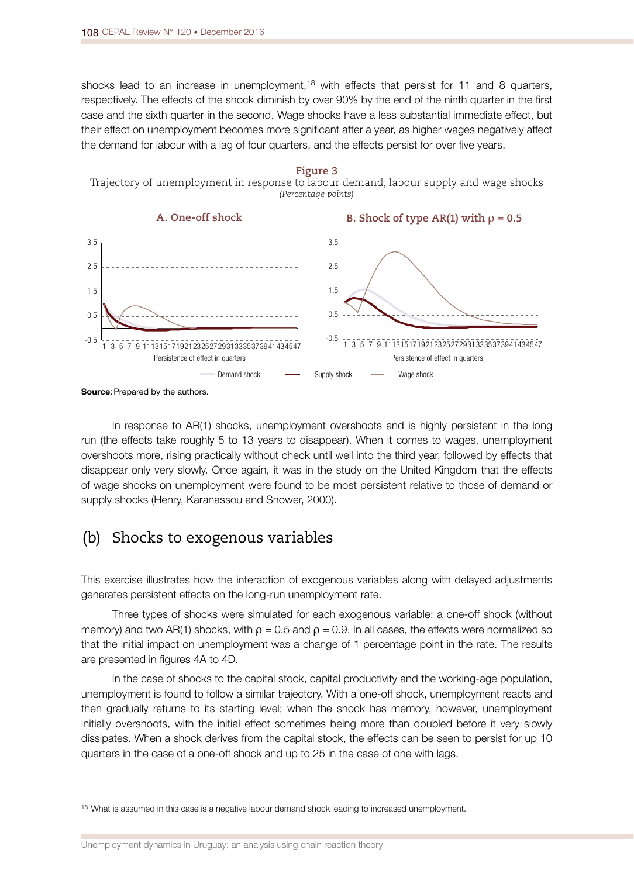shocks lead to an increase in unemployment,<sup>18</sup> with effects that persist for 11 and 8 quarters, respectively. The effects of the shock diminish by over 90% by the end of the ninth quarter in the frst case and the sixth quarter in the second. Wage shocks have a less substantial immediate effect, but their effect on unemployment becomes more signifcant after a year, as higher wages negatively affect the demand for labour with a lag of four quarters, and the effects persist for over five years.



Source: Prepared by the authors.

In response to AR(1) shocks, unemployment overshoots and is highly persistent in the long run (the effects take roughly 5 to 13 years to disappear). When it comes to wages, unemployment overshoots more, rising practically without check until well into the third year, followed by effects that disappear only very slowly. Once again, it was in the study on the United Kingdom that the effects of wage shocks on unemployment were found to be most persistent relative to those of demand or supply shocks (Henry, Karanassou and Snower, 2000).

### (b) Shocks to exogenous variables

This exercise illustrates how the interaction of exogenous variables along with delayed adjustments generates persistent effects on the long-run unemployment rate.

Three types of shocks were simulated for each exogenous variable: a one-off shock (without memory) and two AR(1) shocks, with  $\rho = 0.5$  and  $\rho = 0.9$ . In all cases, the effects were normalized so that the initial impact on unemployment was a change of 1 percentage point in the rate. The results are presented in fgures 4A to 4D.

In the case of shocks to the capital stock, capital productivity and the working-age population, unemployment is found to follow a similar trajectory. With a one-off shock, unemployment reacts and then gradually returns to its starting level; when the shock has memory, however, unemployment initially overshoots, with the initial effect sometimes being more than doubled before it very slowly dissipates. When a shock derives from the capital stock, the effects can be seen to persist for up 10 quarters in the case of a one-off shock and up to 25 in the case of one with lags.

<sup>&</sup>lt;sup>18</sup> What is assumed in this case is a negative labour demand shock leading to increased unemployment.

Unemployment dynamics in Uruguay: an analysis using chain reaction theory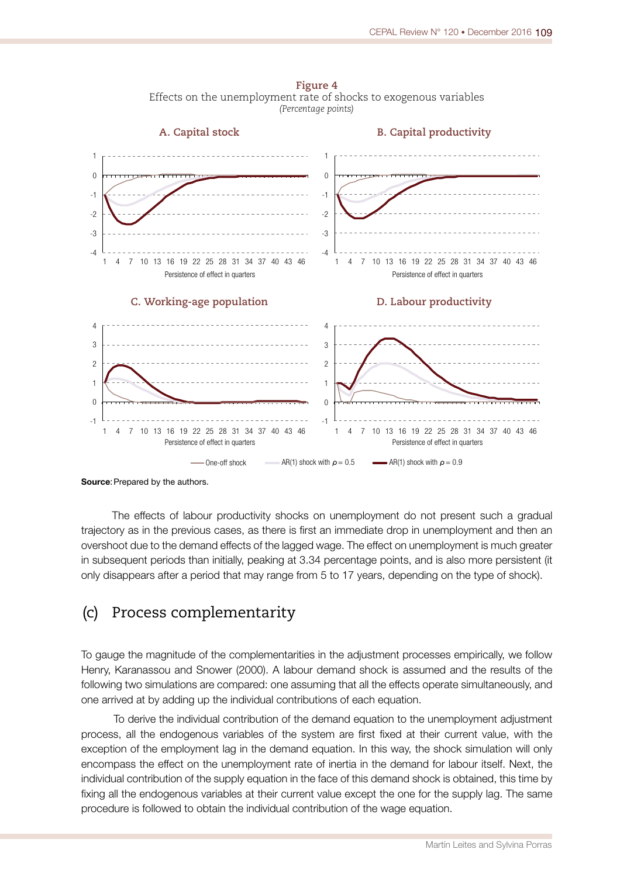**Figure 4** Effects on the unemployment rate of shocks to exogenous variables *(Percentage points)*



Source: Prepared by the authors.

The effects of labour productivity shocks on unemployment do not present such a gradual trajectory as in the previous cases, as there is frst an immediate drop in unemployment and then an overshoot due to the demand effects of the lagged wage. The effect on unemployment is much greater in subsequent periods than initially, peaking at 3.34 percentage points, and is also more persistent (it only disappears after a period that may range from 5 to 17 years, depending on the type of shock).

#### (c) Process complementarity

To gauge the magnitude of the complementarities in the adjustment processes empirically, we follow Henry, Karanassou and Snower (2000). A labour demand shock is assumed and the results of the following two simulations are compared: one assuming that all the effects operate simultaneously, and one arrived at by adding up the individual contributions of each equation.

To derive the individual contribution of the demand equation to the unemployment adjustment process, all the endogenous variables of the system are first fixed at their current value, with the exception of the employment lag in the demand equation. In this way, the shock simulation will only encompass the effect on the unemployment rate of inertia in the demand for labour itself. Next, the individual contribution of the supply equation in the face of this demand shock is obtained, this time by fixing all the endogenous variables at their current value except the one for the supply lag. The same procedure is followed to obtain the individual contribution of the wage equation.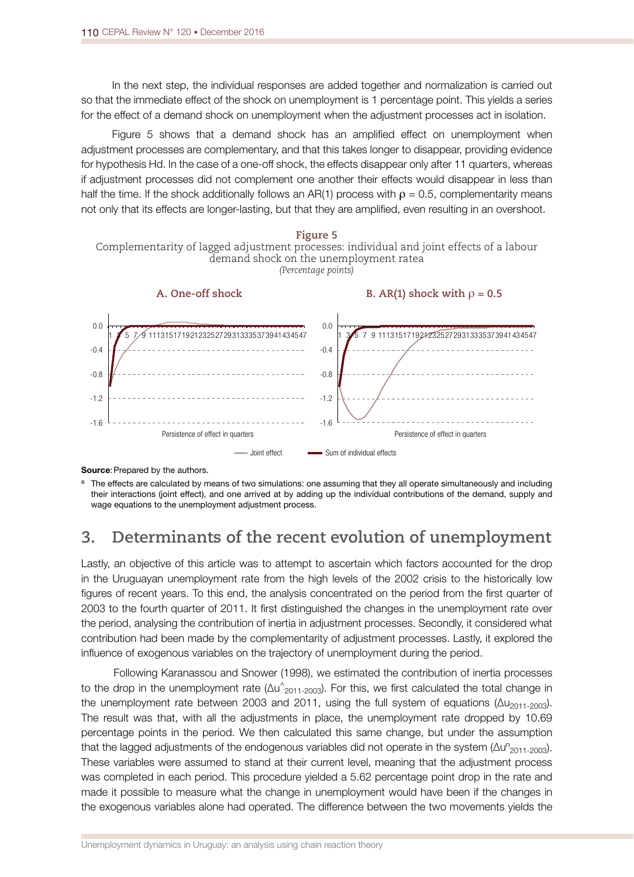In the next step, the individual responses are added together and normalization is carried out so that the immediate effect of the shock on unemployment is 1 percentage point. This yields a series for the effect of a demand shock on unemployment when the adjustment processes act in isolation.

Figure 5 shows that a demand shock has an amplifed effect on unemployment when adjustment processes are complementary, and that this takes longer to disappear, providing evidence for hypothesis Hd. In the case of a one-off shock, the effects disappear only after 11 quarters, whereas if adjustment processes did not complement one another their effects would disappear in less than half the time. If the shock additionally follows an AR(1) process with  $\rho = 0.5$ , complementarity means not only that its effects are longer-lasting, but that they are amplifed, even resulting in an overshoot.



Source: Prepared by the authors.

a The effects are calculated by means of two simulations: one assuming that they all operate simultaneously and including their interactions (joint effect), and one arrived at by adding up the individual contributions of the demand, supply and wage equations to the unemployment adjustment process.

### **3. Determinants of the recent evolution of unemployment**

Lastly, an objective of this article was to attempt to ascertain which factors accounted for the drop in the Uruguayan unemployment rate from the high levels of the 2002 crisis to the historically low fgures of recent years. To this end, the analysis concentrated on the period from the frst quarter of 2003 to the fourth quarter of 2011. It frst distinguished the changes in the unemployment rate over the period, analysing the contribution of inertia in adjustment processes. Secondly, it considered what contribution had been made by the complementarity of adjustment processes. Lastly, it explored the infuence of exogenous variables on the trajectory of unemployment during the period.

Following Karanassou and Snower (1998), we estimated the contribution of inertia processes to the drop in the unemployment rate ( $\Delta$ u^<sub>2011-2003</sub>). For this, we first calculated the total change in the unemployment rate between 2003 and 2011, using the full system of equations ( $\Delta u_{2011-2003}$ ). The result was that, with all the adjustments in place, the unemployment rate dropped by 10.69 percentage points in the period. We then calculated this same change, but under the assumption that the lagged adjustments of the endogenous variables did not operate in the system ( $\Delta u^n_{2011\text{-}2003}$ ). These variables were assumed to stand at their current level, meaning that the adjustment process was completed in each period. This procedure yielded a 5.62 percentage point drop in the rate and made it possible to measure what the change in unemployment would have been if the changes in the exogenous variables alone had operated. The difference between the two movements yields the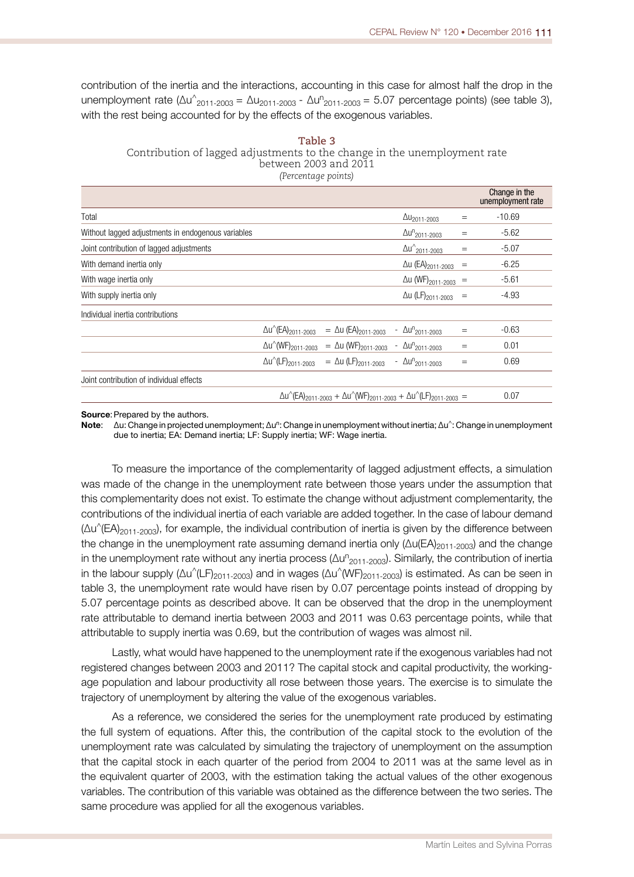contribution of the inertia and the interactions, accounting in this case for almost half the drop in the unemployment rate ( $\Delta u^{\wedge}_{2011\text{-}2003} = \Delta u_{2011\text{-}2003}$  -  $\Delta u^{\text{n}}_{2011\text{-}2003} = 5.07$  percentage points) (see table 3), with the rest being accounted for by the effects of the exogenous variables.

| Table 3                                                                   |
|---------------------------------------------------------------------------|
| Contribution of lagged adjustments to the change in the unemployment rate |
| between 2003 and 20 $\bar{1}1$                                            |
| (Percentage points)                                                       |

|                                                    |                                                                                                                                                             |                                        |     | Change in the<br>unemployment rate |
|----------------------------------------------------|-------------------------------------------------------------------------------------------------------------------------------------------------------------|----------------------------------------|-----|------------------------------------|
| Total                                              |                                                                                                                                                             | $\Delta u_{2011-2003}$                 | $=$ | $-10.69$                           |
| Without lagged adjustments in endogenous variables |                                                                                                                                                             | $\Delta u^n$ <sub>2011-2003</sub>      | $=$ | $-5.62$                            |
| Joint contribution of lagged adjustments           |                                                                                                                                                             | $\Delta u_{2011-2003}^{\wedge}$        | $=$ | $-5.07$                            |
| With demand inertia only                           |                                                                                                                                                             | $\Delta$ u (EA) <sub>2011-2003</sub>   | $=$ | $-6.25$                            |
| With wage inertia only                             |                                                                                                                                                             | $\Delta$ u (WF) <sub>2011-2003</sub> = |     | $-5.61$                            |
| With supply inertia only                           |                                                                                                                                                             | $\Delta$ u (LF) <sub>2011-2003</sub> = |     | $-4.93$                            |
| Individual inertia contributions                   |                                                                                                                                                             |                                        |     |                                    |
|                                                    | $\Delta u^{(EA)}_{2011-2003}$ = $\Delta u$ (EA) <sub>2011-2003</sub> - $\Delta u^{n}_{2011-2003}$                                                           |                                        | $=$ | $-0.63$                            |
|                                                    | $\Delta u^{\wedge}$ (WF) <sub>2011-2003</sub> = $\Delta u$ (WF) <sub>2011-2003</sub> - $\Delta u^{n}$ <sub>2011-2003</sub>                                  |                                        | $=$ | 0.01                               |
|                                                    | $\Delta u$ <sup>(</sup> LF) <sub>2011-2003</sub> = $\Delta u$ (LF) <sub>2011-2003</sub>                                                                     | - $\Delta u_{2011-2003}^{n}$           | $=$ | 0.69                               |
| Joint contribution of individual effects           |                                                                                                                                                             |                                        |     |                                    |
|                                                    | $\Delta u$ <sup>(</sup> (EA) <sub>2011-2003</sub> + $\Delta u$ <sup>(</sup> (WF) <sub>2011-2003</sub> + $\Delta u$ <sup>(</sup> (LF) <sub>2011-2003</sub> = |                                        |     | 0.07                               |

Source: Prepared by the authors.

Note: ∆u: Change in projected unemployment; Δu<sup>n</sup>: Change in unemployment without inertia; Δu<sup>^</sup>: Change in unemployment due to inertia; EA: Demand inertia; LF: Supply inertia; WF: Wage inertia.

To measure the importance of the complementarity of lagged adjustment effects, a simulation was made of the change in the unemployment rate between those years under the assumption that this complementarity does not exist. To estimate the change without adjustment complementarity, the contributions of the individual inertia of each variable are added together. In the case of labour demand  $(\Delta u^{\wedge}(EA)_{2011-2003})$ , for example, the individual contribution of inertia is given by the difference between the change in the unemployment rate assuming demand inertia only (Δu(EA)<sub>2011-2003</sub>) and the change in the unemployment rate without any inertia process ( $\Delta u^n_{2011\text{-}2003}$ ). Similarly, the contribution of inertia in the labour supply ( $\Delta u^{\wedge}(L\mathsf{F})_{2011-2003}$ ) and in wages ( $\Delta u^{\wedge}(WF)_{2011-2003}$ ) is estimated. As can be seen in table 3, the unemployment rate would have risen by 0.07 percentage points instead of dropping by 5.07 percentage points as described above. It can be observed that the drop in the unemployment rate attributable to demand inertia between 2003 and 2011 was 0.63 percentage points, while that attributable to supply inertia was 0.69, but the contribution of wages was almost nil.

Lastly, what would have happened to the unemployment rate if the exogenous variables had not registered changes between 2003 and 2011? The capital stock and capital productivity, the workingage population and labour productivity all rose between those years. The exercise is to simulate the trajectory of unemployment by altering the value of the exogenous variables.

As a reference, we considered the series for the unemployment rate produced by estimating the full system of equations. After this, the contribution of the capital stock to the evolution of the unemployment rate was calculated by simulating the trajectory of unemployment on the assumption that the capital stock in each quarter of the period from 2004 to 2011 was at the same level as in the equivalent quarter of 2003, with the estimation taking the actual values of the other exogenous variables. The contribution of this variable was obtained as the difference between the two series. The same procedure was applied for all the exogenous variables.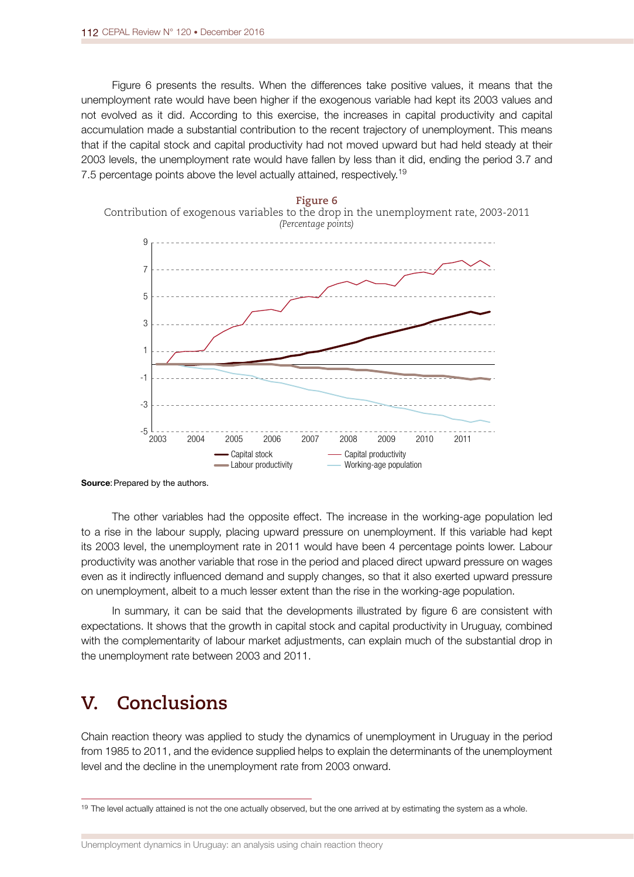Figure 6 presents the results. When the differences take positive values, it means that the unemployment rate would have been higher if the exogenous variable had kept its 2003 values and not evolved as it did. According to this exercise, the increases in capital productivity and capital accumulation made a substantial contribution to the recent trajectory of unemployment. This means that if the capital stock and capital productivity had not moved upward but had held steady at their 2003 levels, the unemployment rate would have fallen by less than it did, ending the period 3.7 and 7.5 percentage points above the level actually attained, respectively.<sup>19</sup>



**Figure 6** Contribution of exogenous variables to the drop in the unemployment rate, 2003-2011

The other variables had the opposite effect. The increase in the working-age population led to a rise in the labour supply, placing upward pressure on unemployment. If this variable had kept its 2003 level, the unemployment rate in 2011 would have been 4 percentage points lower. Labour productivity was another variable that rose in the period and placed direct upward pressure on wages even as it indirectly infuenced demand and supply changes, so that it also exerted upward pressure on unemployment, albeit to a much lesser extent than the rise in the working-age population.

In summary, it can be said that the developments illustrated by fgure 6 are consistent with expectations. It shows that the growth in capital stock and capital productivity in Uruguay, combined with the complementarity of labour market adjustments, can explain much of the substantial drop in the unemployment rate between 2003 and 2011.

## **V. Conclusions**

Chain reaction theory was applied to study the dynamics of unemployment in Uruguay in the period from 1985 to 2011, and the evidence supplied helps to explain the determinants of the unemployment level and the decline in the unemployment rate from 2003 onward.

Source: Prepared by the authors.

<sup>&</sup>lt;sup>19</sup> The level actually attained is not the one actually observed, but the one arrived at by estimating the system as a whole.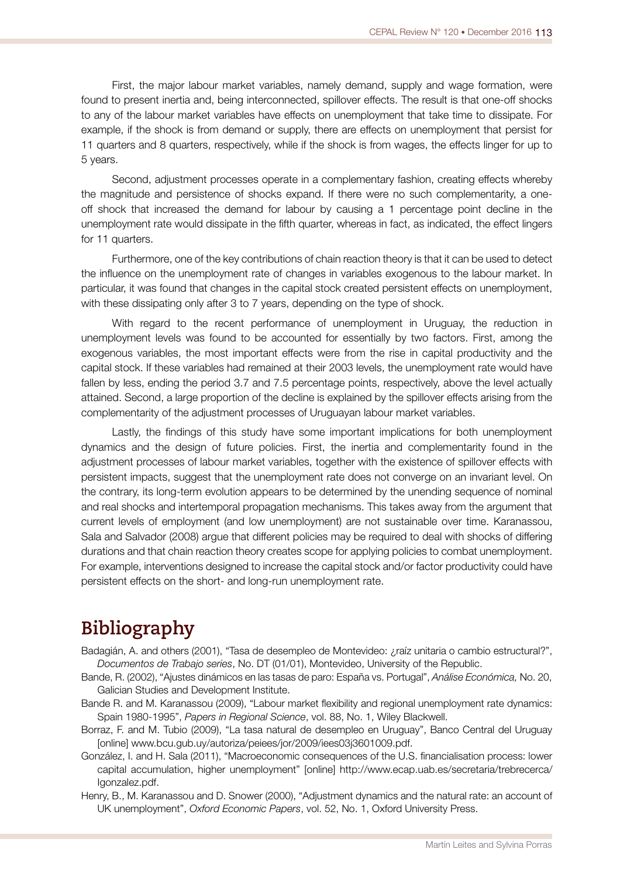First, the major labour market variables, namely demand, supply and wage formation, were found to present inertia and, being interconnected, spillover effects. The result is that one-off shocks to any of the labour market variables have effects on unemployment that take time to dissipate. For example, if the shock is from demand or supply, there are effects on unemployment that persist for 11 quarters and 8 quarters, respectively, while if the shock is from wages, the effects linger for up to 5 years.

Second, adjustment processes operate in a complementary fashion, creating effects whereby the magnitude and persistence of shocks expand. If there were no such complementarity, a oneoff shock that increased the demand for labour by causing a 1 percentage point decline in the unemployment rate would dissipate in the ffth quarter, whereas in fact, as indicated, the effect lingers for 11 quarters.

Furthermore, one of the key contributions of chain reaction theory is that it can be used to detect the infuence on the unemployment rate of changes in variables exogenous to the labour market. In particular, it was found that changes in the capital stock created persistent effects on unemployment, with these dissipating only after 3 to 7 years, depending on the type of shock.

With regard to the recent performance of unemployment in Uruguay, the reduction in unemployment levels was found to be accounted for essentially by two factors. First, among the exogenous variables, the most important effects were from the rise in capital productivity and the capital stock. If these variables had remained at their 2003 levels, the unemployment rate would have fallen by less, ending the period 3.7 and 7.5 percentage points, respectively, above the level actually attained. Second, a large proportion of the decline is explained by the spillover effects arising from the complementarity of the adjustment processes of Uruguayan labour market variables.

Lastly, the fndings of this study have some important implications for both unemployment dynamics and the design of future policies. First, the inertia and complementarity found in the adjustment processes of labour market variables, together with the existence of spillover effects with persistent impacts, suggest that the unemployment rate does not converge on an invariant level. On the contrary, its long-term evolution appears to be determined by the unending sequence of nominal and real shocks and intertemporal propagation mechanisms. This takes away from the argument that current levels of employment (and low unemployment) are not sustainable over time. Karanassou, Sala and Salvador (2008) argue that different policies may be required to deal with shocks of differing durations and that chain reaction theory creates scope for applying policies to combat unemployment. For example, interventions designed to increase the capital stock and/or factor productivity could have persistent effects on the short- and long-run unemployment rate.

## **Bibliography**

- Badagián, A. and others (2001), "Tasa de desempleo de Montevideo: ¿raíz unitaria o cambio estructural?", *Documentos de Trabajo series*, No. DT (01/01), Montevideo, University of the Republic.
- Bande, R. (2002), "Ajustes dinámicos en las tasas de paro: España vs. Portugal", *Análise Económica,* No. 20, Galician Studies and Development Institute.
- Bande R. and M. Karanassou (2009), "Labour market flexibility and regional unemployment rate dynamics: Spain 1980-1995", *Papers in Regional Science*, vol. 88, No. 1, Wiley Blackwell.
- Borraz, F. and M. Tubio (2009), "La tasa natural de desempleo en Uruguay", Banco Central del Uruguay [online] www.bcu.gub.uy/autoriza/peiees/jor/2009/iees03j3601009.pdf.
- González, I. and H. Sala (2011), "Macroeconomic consequences of the U.S. financialisation process: lower capital accumulation, higher unemployment" [online] http://www.ecap.uab.es/secretaria/trebrecerca/ Igonzalez.pdf.
- Henry, B., M. Karanassou and D. Snower (2000), "Adjustment dynamics and the natural rate: an account of UK unemployment", *Oxford Economic Papers*, vol. 52, No. 1, Oxford University Press.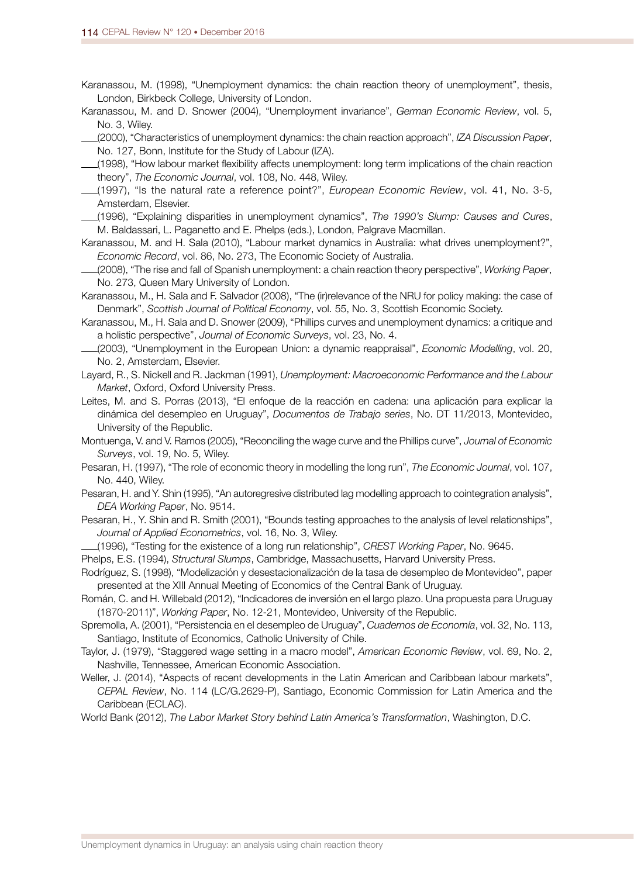- Karanassou, M. (1998), "Unemployment dynamics: the chain reaction theory of unemployment", thesis, London, Birkbeck College, University of London.
- Karanassou, M. and D. Snower (2004), "Unemployment invariance", *German Economic Review*, vol. 5, No. 3, Wiley.
- (2000), "Characteristics of unemployment dynamics: the chain reaction approach", *IZA Discussion Paper*, No. 127, Bonn, Institute for the Study of Labour (IZA).
- (1998), "How labour market flexibility affects unemployment: long term implications of the chain reaction theory", *The Economic Journal*, vol. 108, No. 448, Wiley.
- (1997), "Is the natural rate a reference point?", *European Economic Review*, vol. 41, No. 3-5, Amsterdam, Elsevier.
- (1996), "Explaining disparities in unemployment dynamics", *The 1990's Slump: Causes and Cures*, M. Baldassari, L. Paganetto and E. Phelps (eds.), London, Palgrave Macmillan.
- Karanassou, M. and H. Sala (2010), "Labour market dynamics in Australia: what drives unemployment?", *Economic Record*, vol. 86, No. 273, The Economic Society of Australia.
- (2008), "The rise and fall of Spanish unemployment: a chain reaction theory perspective", *Working Paper*, No. 273, Queen Mary University of London.
- Karanassou, M., H. Sala and F. Salvador (2008), "The (ir)relevance of the NRU for policy making: the case of Denmark", *Scottish Journal of Political Economy*, vol. 55, No. 3, Scottish Economic Society.
- Karanassou, M., H. Sala and D. Snower (2009), "Phillips curves and unemployment dynamics: a critique and a holistic perspective", *Journal of Economic Surveys*, vol. 23, No. 4.
- (2003), "Unemployment in the European Union: a dynamic reappraisal", *Economic Modelling*, vol. 20, No. 2, Amsterdam, Elsevier.
- Layard, R., S. Nickell and R. Jackman (1991), *Unemployment: Macroeconomic Performance and the Labour Market*, Oxford, Oxford University Press.
- Leites, M. and S. Porras (2013), "El enfoque de la reacción en cadena: una aplicación para explicar la dinámica del desempleo en Uruguay", *Documentos de Trabajo series*, No. DT 11/2013, Montevideo, University of the Republic.
- Montuenga, V. and V. Ramos (2005), "Reconciling the wage curve and the Phillips curve", *Journal of Economic Surveys*, vol. 19, No. 5, Wiley.
- Pesaran, H. (1997), "The role of economic theory in modelling the long run", *The Economic Journal*, vol. 107, No. 440, Wiley.
- Pesaran, H. and Y. Shin (1995), "An autoregresive distributed lag modelling approach to cointegration analysis", *DEA Working Paper*, No. 9514.
- Pesaran, H., Y. Shin and R. Smith (2001), "Bounds testing approaches to the analysis of level relationships", *Journal of Applied Econometrics*, vol. 16, No. 3, Wiley.
- (1996), "Testing for the existence of a long run relationship", *CREST Working Paper*, No. 9645.
- Phelps, E.S. (1994), *Structural Slumps*, Cambridge, Massachusetts, Harvard University Press.
- Rodríguez, S. (1998), "Modelización y desestacionalización de la tasa de desempleo de Montevideo", paper presented at the XIII Annual Meeting of Economics of the Central Bank of Uruguay.
- Román, C. and H. Willebald (2012), "Indicadores de inversión en el largo plazo. Una propuesta para Uruguay (1870-2011)", *Working Paper*, No. 12-21, Montevideo, University of the Republic.
- Spremolla, A. (2001), "Persistencia en el desempleo de Uruguay", *Cuadernos de Economía*, vol. 32, No. 113, Santiago, Institute of Economics, Catholic University of Chile.
- Taylor, J. (1979), "Staggered wage setting in a macro model", *American Economic Review*, vol. 69, No. 2, Nashville, Tennessee, American Economic Association.
- Weller, J. (2014), "Aspects of recent developments in the Latin American and Caribbean labour markets", *CEPAL Review*, No. 114 (LC/G.2629-P), Santiago, Economic Commission for Latin America and the Caribbean (ECLAC).
- World Bank (2012), *The Labor Market Story behind Latin America's Transformation*, Washington, D.C.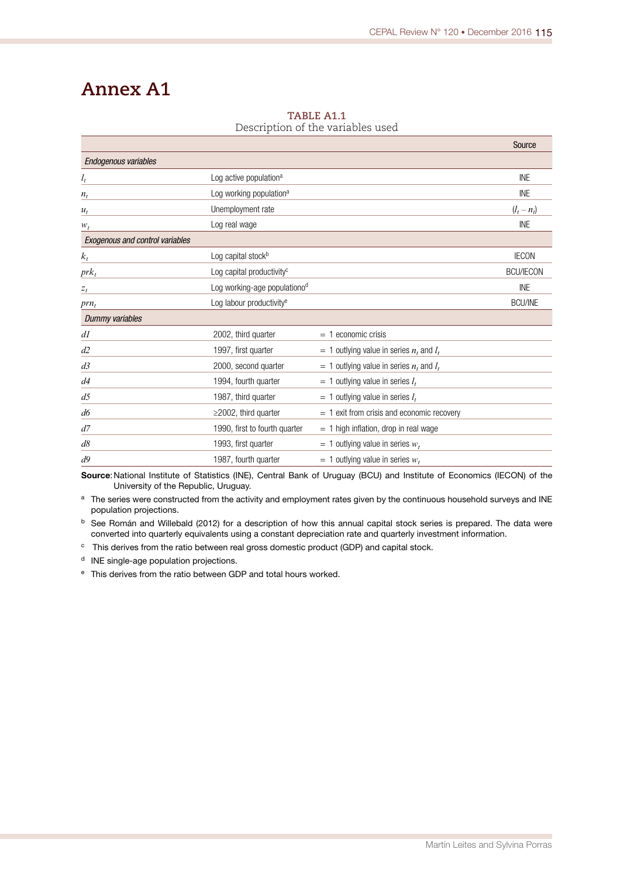## **Annex A1**

|                                 |                                       |                                                | Source           |
|---------------------------------|---------------------------------------|------------------------------------------------|------------------|
| Endogenous variables            |                                       |                                                |                  |
| $l_t$                           | Log active population <sup>a</sup>    |                                                | <b>INE</b>       |
| $n_t$                           | Log working population <sup>a</sup>   |                                                | <b>INE</b>       |
| $u_t$                           | Unemployment rate                     |                                                | $(l_t - n_t)$    |
| $W_t$                           | Log real wage                         |                                                | INE              |
| Exogenous and control variables |                                       |                                                |                  |
| $k_t$                           | Log capital stock <sup>b</sup>        |                                                | <b>IECON</b>     |
| $prk_t$                         | Log capital productivity <sup>c</sup> |                                                | <b>BCU/IECON</b> |
| $z_t$                           | Log working-age populationod          |                                                | <b>INE</b>       |
| $prn_t$                         | Log labour productivity <sup>e</sup>  |                                                | <b>BCU/INE</b>   |
| Dummy variables                 |                                       |                                                |                  |
| dl                              | 2002, third quarter                   | $=$ 1 economic crisis                          |                  |
| d2                              | 1997, first quarter                   | $=$ 1 outlying value in series $n_t$ and $l_t$ |                  |
| d <sub>3</sub>                  | 2000, second quarter                  | $=$ 1 outlying value in series $n_t$ and $l_t$ |                  |
| d4                              | 1994, fourth quarter                  | $= 1$ outlying value in series $l_t$           |                  |
| d5                              | 1987, third quarter                   | $=$ 1 outlying value in series $l_t$           |                  |
| d6                              | $\geq$ 2002, third quarter            | $= 1$ exit from crisis and economic recovery   |                  |
| d7                              | 1990, first to fourth quarter         | $= 1$ high inflation, drop in real wage        |                  |
| $d\delta$                       | 1993, first quarter                   | $=$ 1 outlying value in series $w_t$           |                  |
| d9                              | 1987, fourth quarter                  | = 1 outlying value in series $w_t$             |                  |

#### **TABLE A1.1** Description of the variables used

Source: National Institute of Statistics (INE), Central Bank of Uruguay (BCU) and Institute of Economics (IECON) of the University of the Republic, Uruguay.

a The series were constructed from the activity and employment rates given by the continuous household surveys and INE population projections.

<sup>b</sup> See Román and Willebald (2012) for a description of how this annual capital stock series is prepared. The data were converted into quarterly equivalents using a constant depreciation rate and quarterly investment information.

<sup>c</sup> This derives from the ratio between real gross domestic product (GDP) and capital stock.

<sup>d</sup> INE single-age population projections.

<sup>e</sup> This derives from the ratio between GDP and total hours worked.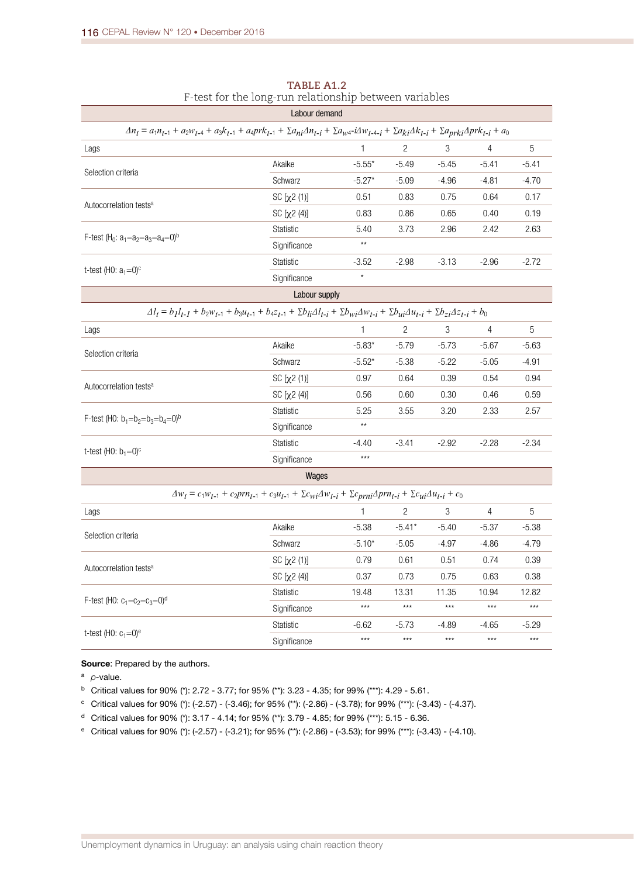|                                                                                                                                                                                                                           | Labour demand       |                 |                |         |                |         |  |  |
|---------------------------------------------------------------------------------------------------------------------------------------------------------------------------------------------------------------------------|---------------------|-----------------|----------------|---------|----------------|---------|--|--|
| $\Delta n_t = a_1 n_{t-1} + a_2 w_{t-4} + a_3 k_{t-1} + a_4 p r k_{t-1} + \sum a_{ni} \Delta n_{t-i} + \sum a_{wi} \Delta n_{t-4-i} + \sum a_{ki} \Delta k_{t-i} + \sum a_{prki} \Delta p r k_{t-i} + a_0$                |                     |                 |                |         |                |         |  |  |
| Lags                                                                                                                                                                                                                      |                     | 1               | 2              | 3       | 4              | 5       |  |  |
|                                                                                                                                                                                                                           | Akaike              | $-5.55*$        | $-5.49$        | $-5.45$ | $-5.41$        | $-5.41$ |  |  |
| Selection criteria                                                                                                                                                                                                        | Schwarz             | $-5.27*$        | $-5.09$        | $-4.96$ | $-4.81$        | $-4.70$ |  |  |
|                                                                                                                                                                                                                           | SC [x2 (1)]         | 0.51            | 0.83           | 0.75    | 0.64           | 0.17    |  |  |
| Autocorrelation tests <sup>a</sup>                                                                                                                                                                                        | SC [x2 (4)]         | 0.83            | 0.86           | 0.65    | 0.40           | 0.19    |  |  |
|                                                                                                                                                                                                                           | Statistic           | 5.40            | 3.73           | 2.96    | 2.42           | 2.63    |  |  |
| F-test (H <sub>0</sub> : $a_1=a_2=a_3=a_4=0$ ) <sup>b</sup>                                                                                                                                                               | Significance        | $^{\star\star}$ |                |         |                |         |  |  |
|                                                                                                                                                                                                                           | <b>Statistic</b>    | $-3.52$         | $-2.98$        | $-3.13$ | $-2.96$        | $-2.72$ |  |  |
| t-test (H0: $a_1=0$ ) <sup>c</sup>                                                                                                                                                                                        | Significance        | $\star$         |                |         |                |         |  |  |
|                                                                                                                                                                                                                           | Labour supply       |                 |                |         |                |         |  |  |
| $\varDelta l_{t} = b_{1}l_{t-1} + b_{2}w_{t-1} + b_{3}u_{t-1} + b_{4}z_{t-1} + \Sigma b_{li}\varDelta l_{t-i} + \Sigma b_{wi}\varDelta w_{t-i} + \Sigma b_{ui}\varDelta u_{t-i} + \Sigma b_{zi}\varDelta z_{t-i} + b_{0}$ |                     |                 |                |         |                |         |  |  |
| Lags                                                                                                                                                                                                                      |                     | 1               | $\overline{2}$ | 3       | $\overline{4}$ | 5       |  |  |
| Selection criteria                                                                                                                                                                                                        | Akaike              | $-5.83*$        | $-5.79$        | $-5.73$ | $-5.67$        | $-5.63$ |  |  |
|                                                                                                                                                                                                                           | Schwarz             | $-5.52*$        | $-5.38$        | $-5.22$ | $-5.05$        | $-4.91$ |  |  |
| Autocorrelation tests <sup>a</sup>                                                                                                                                                                                        | SC [x2 (1)]         | 0.97            | 0.64           | 0.39    | 0.54           | 0.94    |  |  |
|                                                                                                                                                                                                                           | $SC [ \chi^2 (4) ]$ | 0.56            | 0.60           | 0.30    | 0.46           | 0.59    |  |  |
| F-test (H0: $b_1 = b_2 = b_3 = b_4 = 0$ ) <sup>b</sup>                                                                                                                                                                    | <b>Statistic</b>    | 5.25            | 3.55           | 3.20    | 2.33           | 2.57    |  |  |
|                                                                                                                                                                                                                           | Significance        | $\star\star$    |                |         |                |         |  |  |
| t-test (H0: $b_1 = 0$ ) <sup>c</sup>                                                                                                                                                                                      | <b>Statistic</b>    | $-4.40$         | $-3.41$        | $-2.92$ | $-2.28$        | $-2.34$ |  |  |
|                                                                                                                                                                                                                           | Significance        | $***$           |                |         |                |         |  |  |
|                                                                                                                                                                                                                           | Wages               |                 |                |         |                |         |  |  |
| $\varDelta w_t = c_1 w_{t-1} + c_2 prn_{t-1} + c_3 u_{t-1} + \Sigma c_{wi}\varDelta w_{t-i} + \Sigma c_{prni}\varDelta prn_{t-i} + \Sigma c_{ui}\varDelta u_{t-i} + c_0$                                                  |                     |                 |                |         |                |         |  |  |
| Lags                                                                                                                                                                                                                      |                     | 1               | 2              | 3       | 4              | 5       |  |  |
| Selection criteria                                                                                                                                                                                                        | Akaike              | $-5.38$         | $-5.41*$       | $-5.40$ | $-5.37$        | $-5.38$ |  |  |
|                                                                                                                                                                                                                           | Schwarz             | $-5.10*$        | $-5.05$        | $-4.97$ | $-4.86$        | $-4.79$ |  |  |
| Autocorrelation tests <sup>a</sup>                                                                                                                                                                                        | SC [x2 (1)]         | 0.79            | 0.61           | 0.51    | 0.74           | 0.39    |  |  |
|                                                                                                                                                                                                                           | $SC [ \chi2 (4) ]$  | 0.37            | 0.73           | 0.75    | 0.63           | 0.38    |  |  |
| F-test (H0: $c_1 = c_2 = c_3 = 0$ ) <sup>d</sup>                                                                                                                                                                          | <b>Statistic</b>    | 19.48           | 13.31          | 11.35   | 10.94          | 12.82   |  |  |
|                                                                                                                                                                                                                           | Significance        | $***$           | $***$          | $***$   | $***$          | $***$   |  |  |
| t-test (H0: $c_1 = 0$ ) <sup>e</sup>                                                                                                                                                                                      | <b>Statistic</b>    | $-6.62$         | $-5.73$        | $-4.89$ | $-4.65$        | $-5.29$ |  |  |
|                                                                                                                                                                                                                           | Significance        | $***$           | $***$          | $***$   | $***$          | $***$   |  |  |

#### **TABLE A1.2** F-test for the long-run relationship between variables

#### Source: Prepared by the authors.

<sup>a</sup> *p*-value.

- <sup>b</sup> Critical values for 90% (\*): 2.72 3.77; for 95% (\*\*): 3.23 4.35; for 99% (\*\*\*): 4.29 5.61.
- $\degree$  Critical values for 90% (\*): (-2.57) (-3.46); for 95% (\*\*): (-2.86) (-3.78); for 99% (\*\*\*): (-3.43) (-4.37).
- <sup>d</sup> Critical values for 90% (\*): 3.17 4.14; for 95% (\*\*): 3.79 4.85; for 99% (\*\*\*): 5.15 6.36.
- <sup>e</sup> Critical values for 90% (\*): (-2.57) (-3.21); for 95% (\*\*): (-2.86) (-3.53); for 99% (\*\*\*): (-3.43) (-4.10).